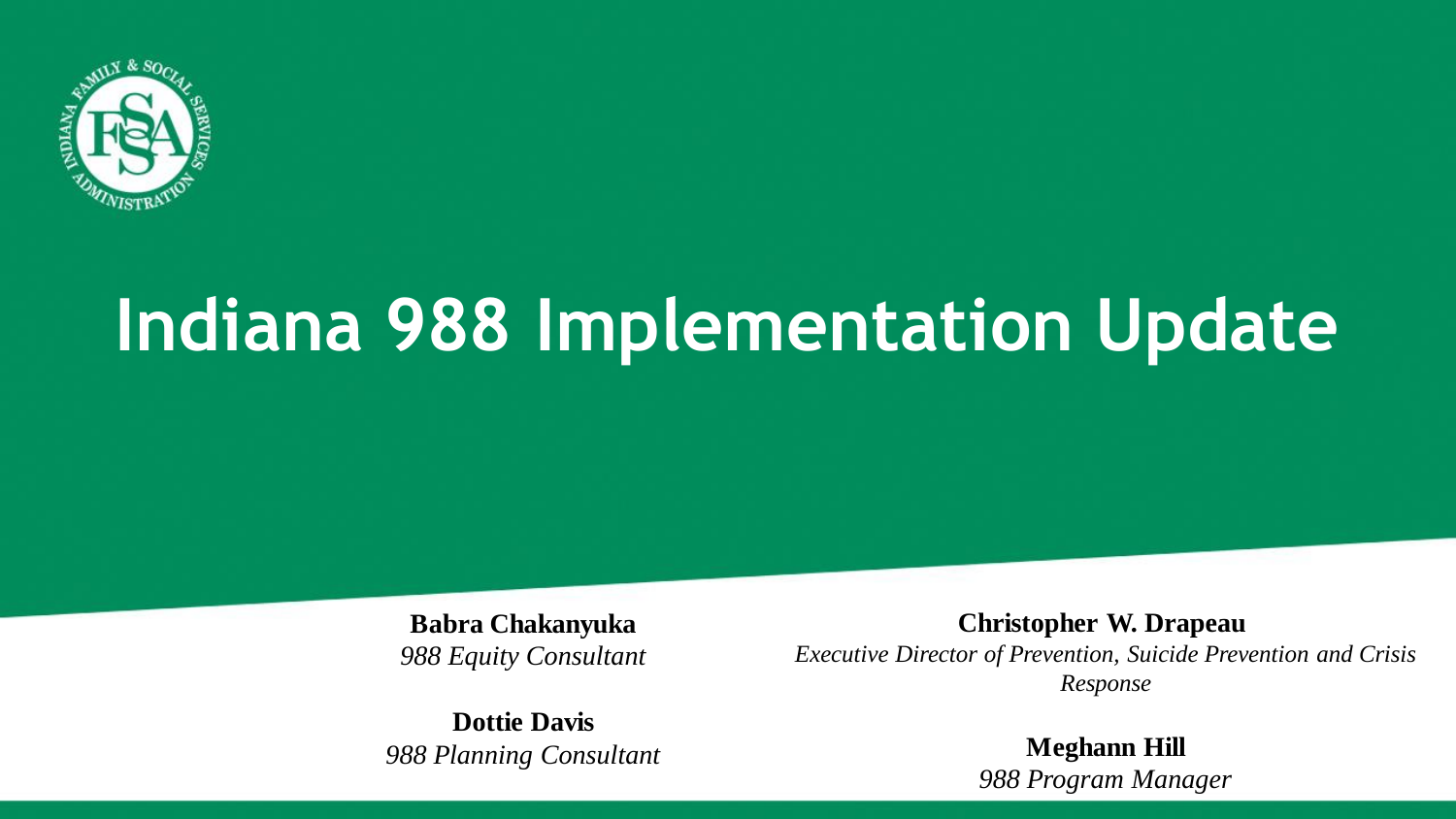

## **Indiana 988 Implementation Update**

**Babra Chakanyuka** *988 Equity Consultant*

**Dottie Davis**  *988 Planning Consultant*

**Christopher W. Drapeau** *Executive Director of Prevention, Suicide Prevention and Crisis Response*

> **Meghann Hill** *988 Program Manager*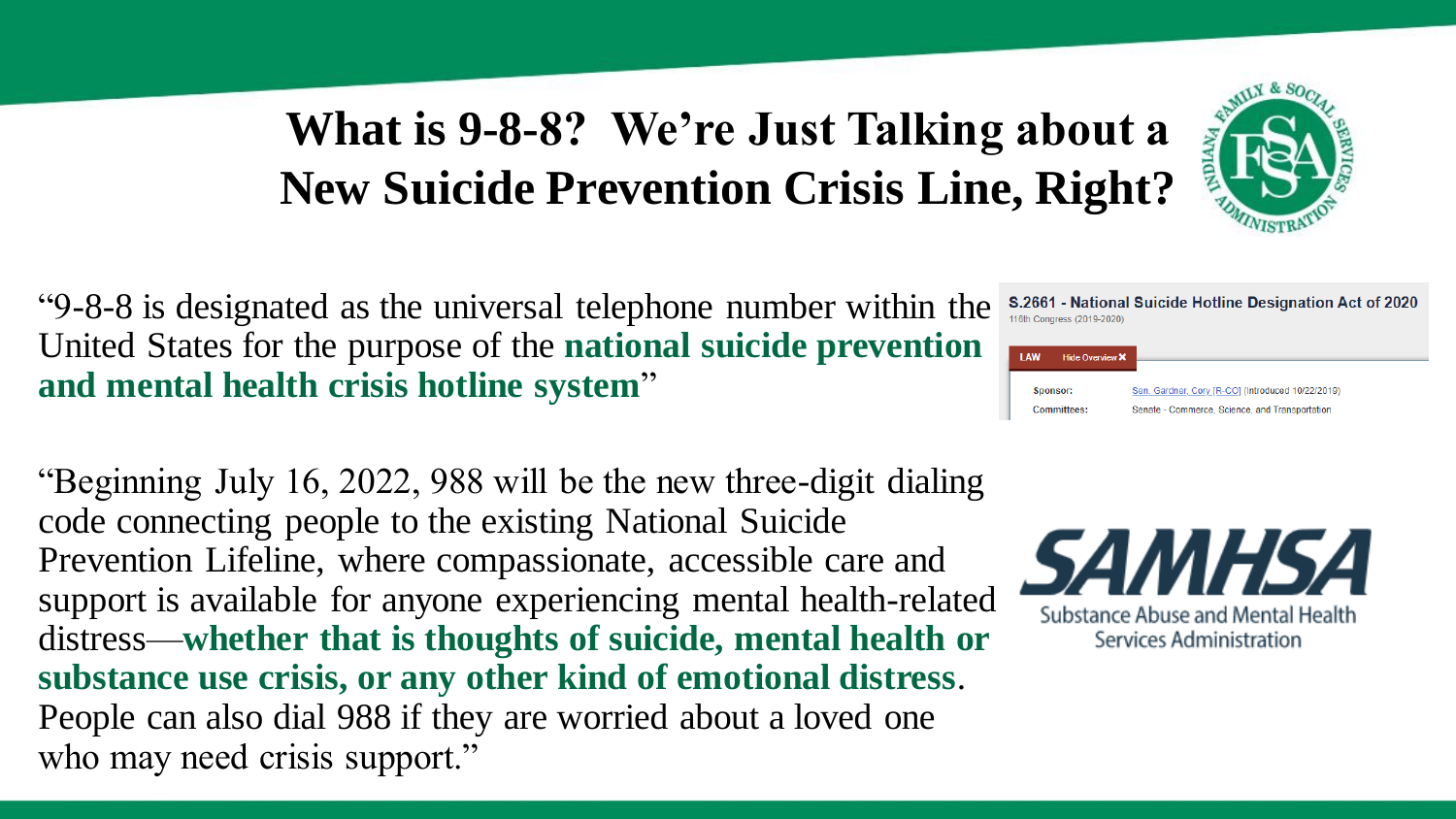### **What is 9-8-8? We're Just Talking about a New Suicide Prevention Crisis Line, Right?**

"9-8-8 is designated as the universal telephone number within the United States for the purpose of the **national suicide prevention and mental health crisis hotline system**"

"Beginning July 16, 2022, 988 will be the new three-digit dialing code connecting people to the existing National Suicide Prevention Lifeline, where compassionate, accessible care and support is available for anyone experiencing mental health-related distress—**whether that is thoughts of suicide, mental health or substance use crisis, or any other kind of emotional distress**. People can also dial 988 if they are worried about a loved one who may need crisis support."





enate - Commerce, Science, and Transportatior

**Sponsor** Committees

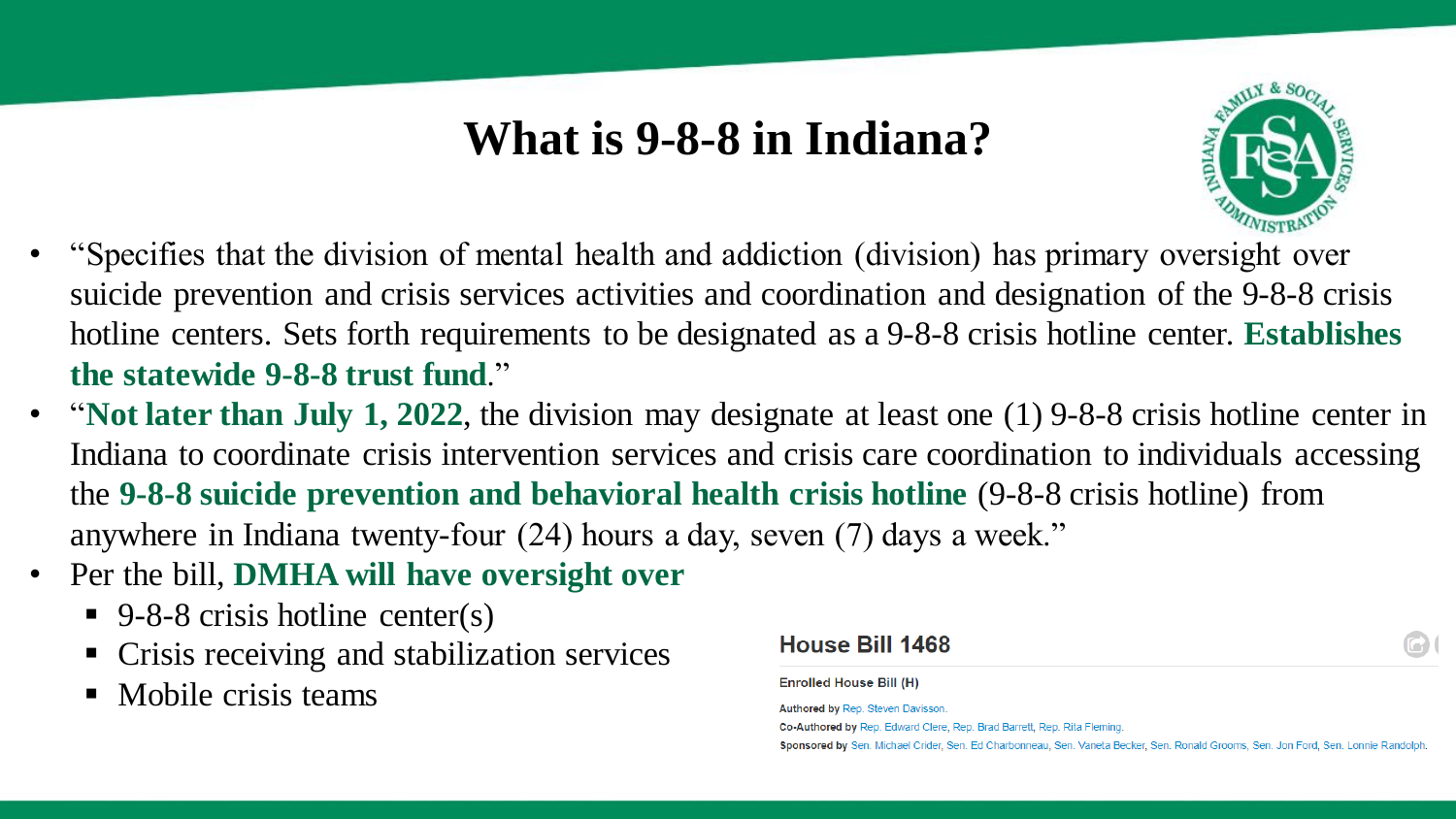### **What is 9-8-8 in Indiana?**



- "Specifies that the division of mental health and addiction (division) has primary oversight over suicide prevention and crisis services activities and coordination and designation of the 9-8-8 crisis hotline centers. Sets forth requirements to be designated as a 9-8-8 crisis hotline center. **Establishes the statewide 9-8-8 trust fund**."
- "**Not later than July 1, 2022**, the division may designate at least one (1) 9-8-8 crisis hotline center in Indiana to coordinate crisis intervention services and crisis care coordination to individuals accessing the **9-8-8 suicide prevention and behavioral health crisis hotline** (9-8-8 crisis hotline) from anywhere in Indiana twenty-four (24) hours a day, seven (7) days a week."
- Per the bill, **DMHA will have oversight over** 
	- $\blacksquare$  9-8-8 crisis hotline center(s)
	- **•** Crisis receiving and stabilization services
	- Mobile crisis teams

#### House Bill 1468 **Enrolled House Bill (H)** Authored by Rep. Steven Davisson. Co-Authored by Rep. Edward Clere, Rep. Brad Barrett, Rep. Rita Fleming. Sponsored by Sen. Michael Crider, Sen. Ed Charbonneau, Sen. Vaneta Becker, Sen. Ronald Grooms, Sen. Jon Ford, Sen. Lonni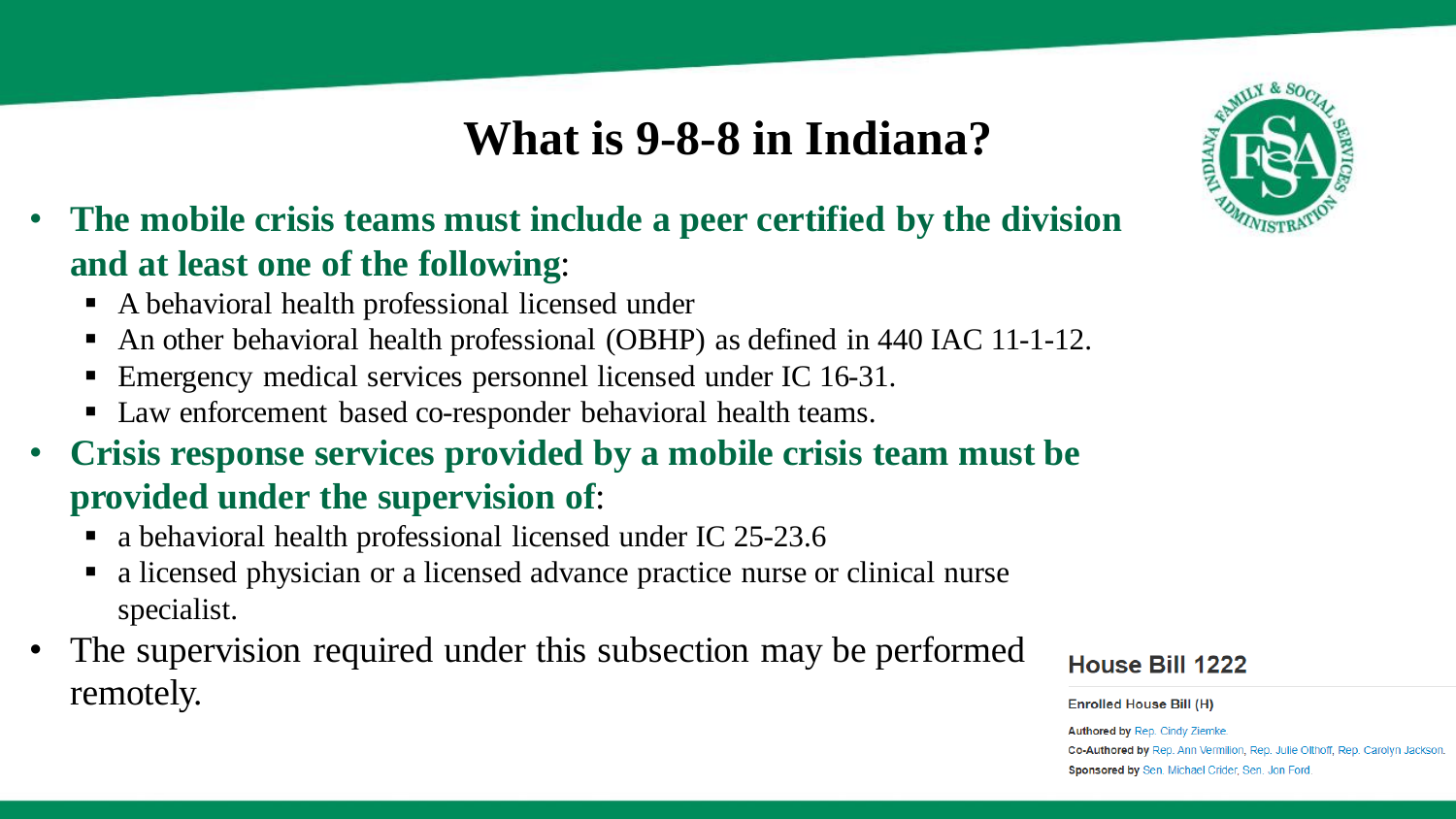### **What is 9-8-8 in Indiana?**



- **The mobile crisis teams must include a peer certified by the division and at least one of the following**:
	- A behavioral health professional licensed under
	- An other behavioral health professional (OBHP) as defined in 440 IAC 11-1-12.
	- Emergency medical services personnel licensed under IC 16-31.
	- Law enforcement based co-responder behavioral health teams.
- **Crisis response services provided by a mobile crisis team must be provided under the supervision of**:
	- a behavioral health professional licensed under IC 25-23.6
	- a licensed physician or a licensed advance practice nurse or clinical nurse specialist.
- The supervision required under this subsection may be performed remotely.

#### House Bill 1222

#### **Enrolled House Bill (H)**

Authored by Rep. Cindy Ziemke. Co-Authored by Rep. Ann Vermilion, Rep. Julie Olthoff, Rep. Carolyn Jackson Sponsored by Sen. Michael Crider, Sen. Jon Ford.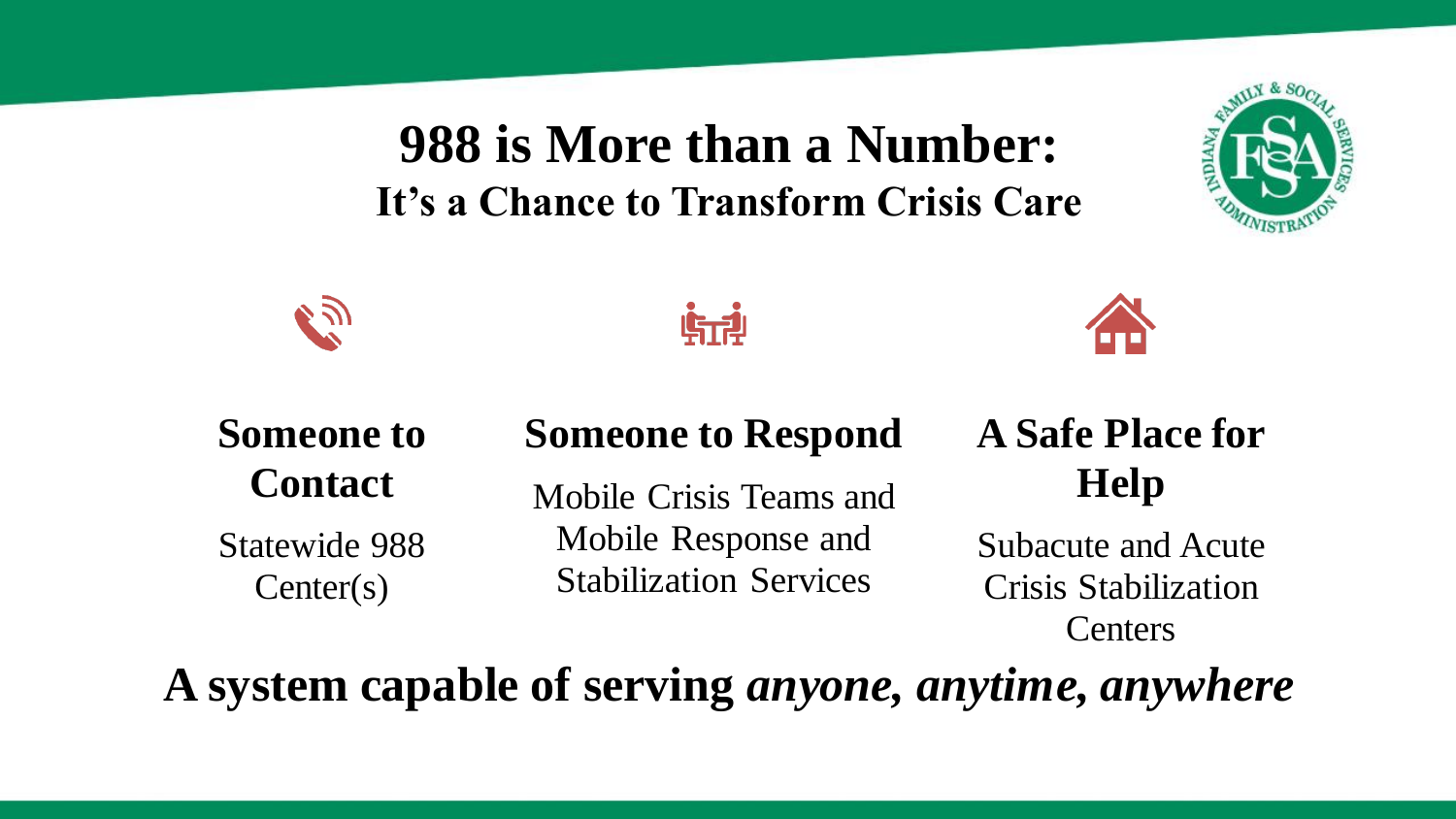### **988 is More than a Number: It's a Chance to Transform Crisis Care**



**Someone to Contact**

**E.S.** 

Statewide 988 Center(s)

#### **Someone to Respond**

157

Mobile Crisis Teams and Mobile Response and Stabilization Services



**A Safe Place for Help**

Subacute and Acute Crisis Stabilization **Centers** 

**A system capable of serving** *anyone, anytime, anywhere*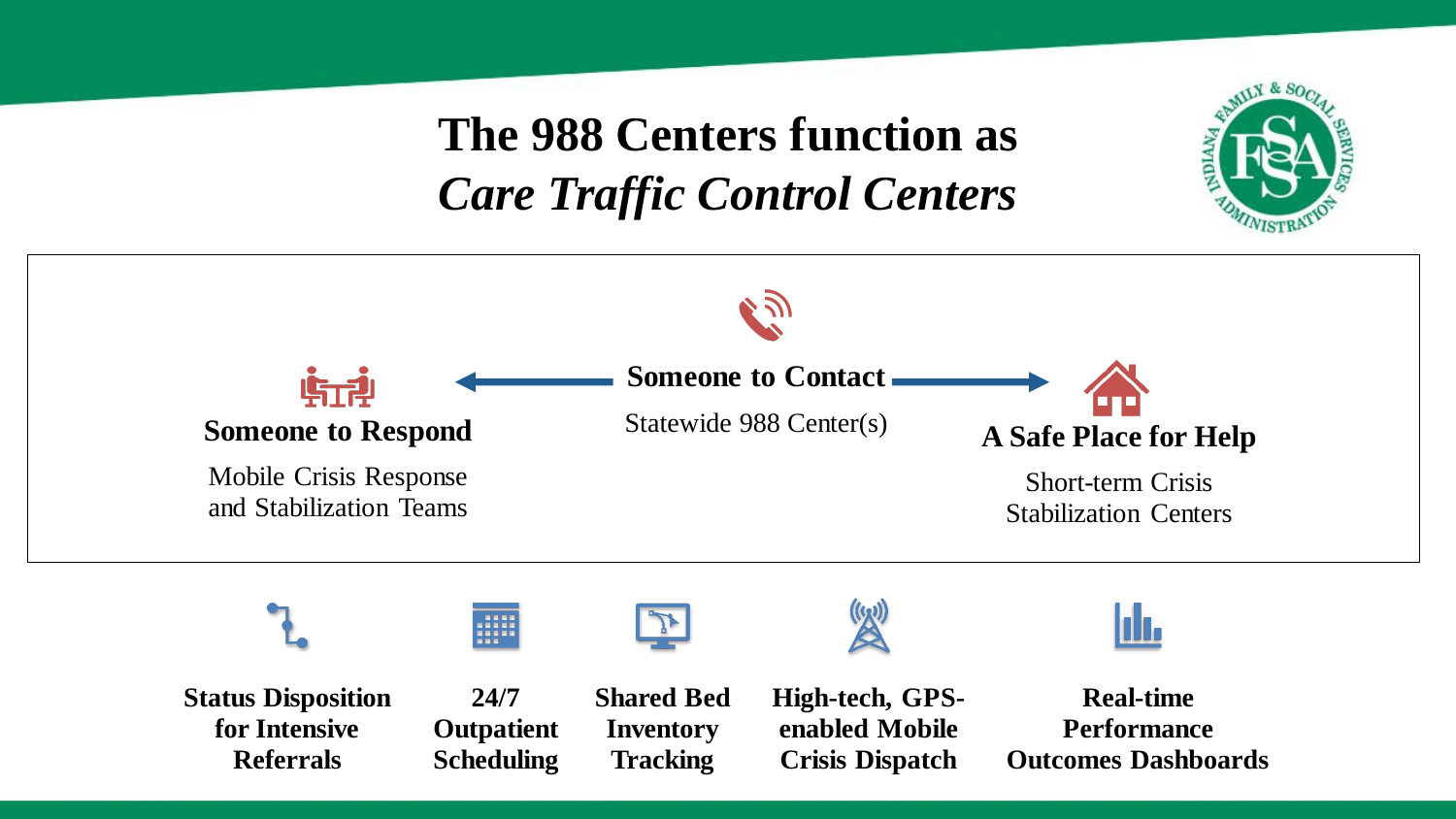**The 988 Centers function as**  *Care Traffic Control Centers* MILY & SO<sub>C</sub>

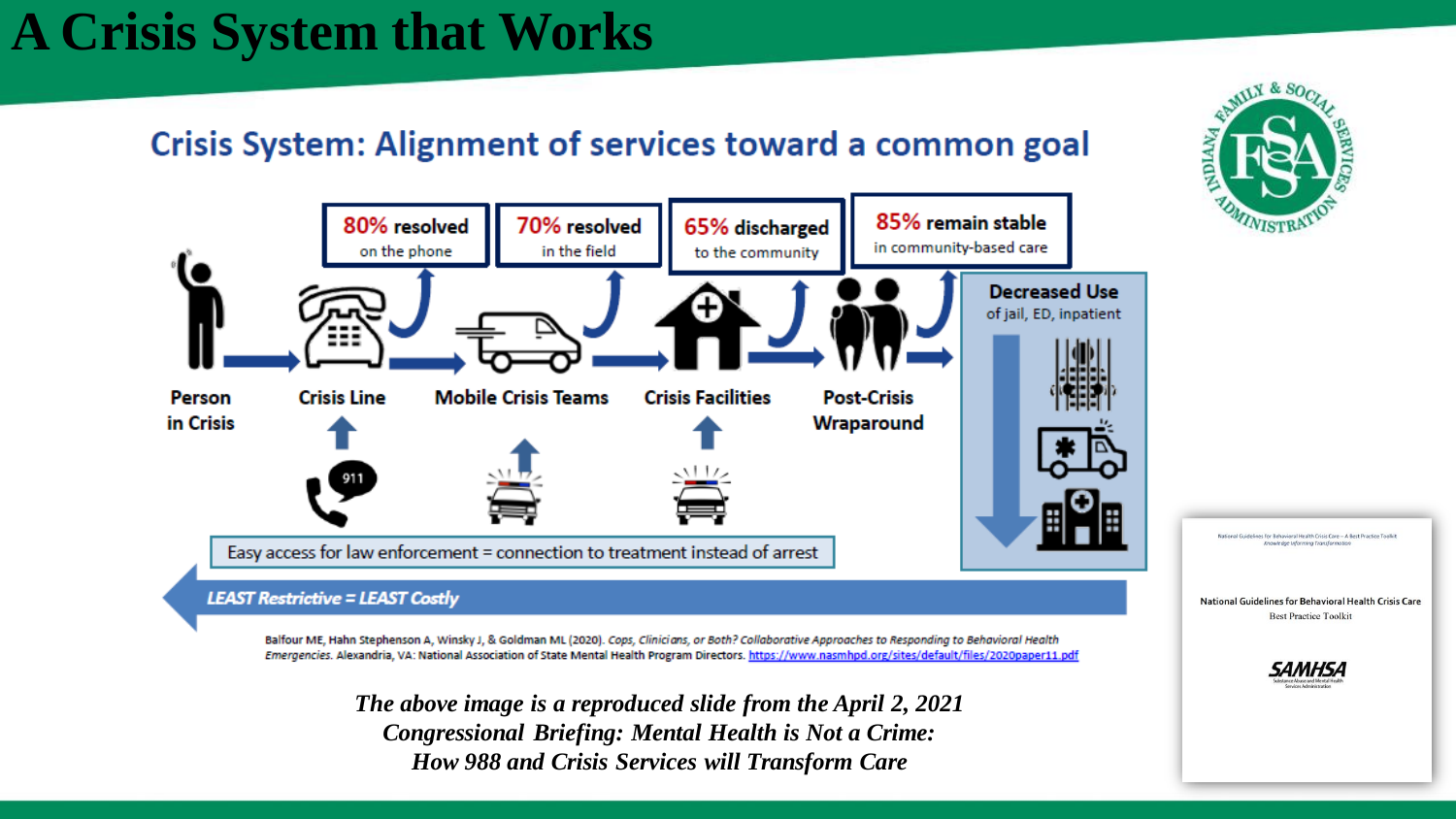### **A Crisis System that Works**

#### **Crisis System: Alignment of services toward a common goal**



Balfour ME, Hahn Stephenson A, Winsky J, & Goldman ML (2020). Cops, Clinicians, or Both? Collaborative Approaches to Responding to Behavioral Health Emergencies. Alexandria, VA: National Association of State Mental Health Program Directors. https://www.nasmhpd.org/sites/default/files/2020paper11.pdf

> *The above image is a reproduced slide from the April 2, 2021 Congressional Briefing: Mental Health is Not a Crime: How 988 and Crisis Services will Transform Care*



ines for Behavioral Health Crisis Care - A Best Practice Toolkit Knowledge Informing Transformation

National Guidelines for Behavioral Health Crisis Care **Best Practice Toolkit** 

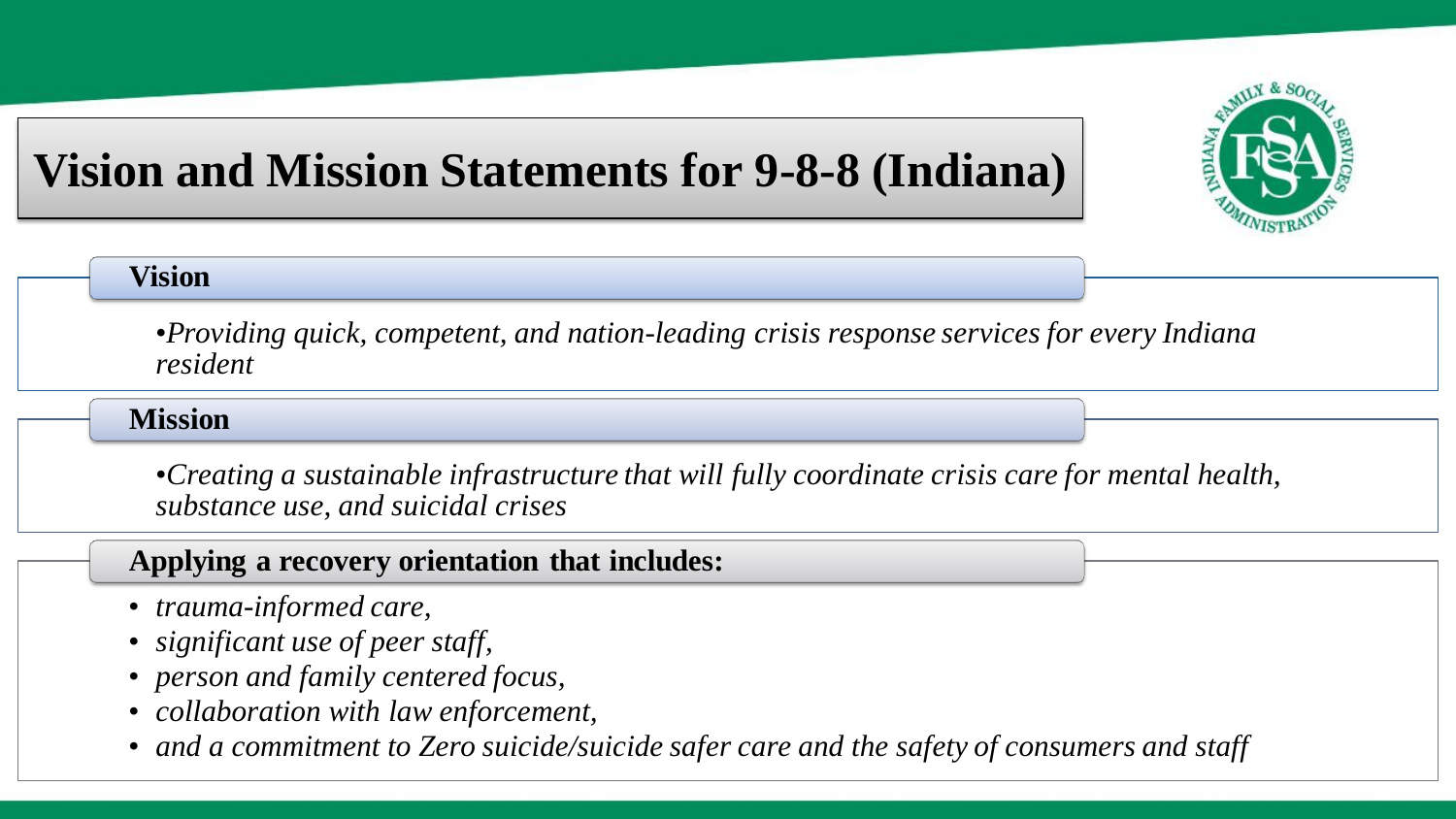### **Vision and Mission Statements for 9-8-8 (Indiana)**



#### **Vision**

•*Providing quick, competent, and nation-leading crisis response services for every Indiana resident* 

#### **Mission**

•*Creating a sustainable infrastructure that will fully coordinate crisis care for mental health, substance use, and suicidal crises*

#### **Applying a recovery orientation that includes:**

- *trauma-informed care,*
- *significant use of peer staff,*
- *person and family centered focus,*
- *collaboration with law enforcement,*
- *and a commitment to Zero suicide/suicide safer care and the safety of consumers and staff*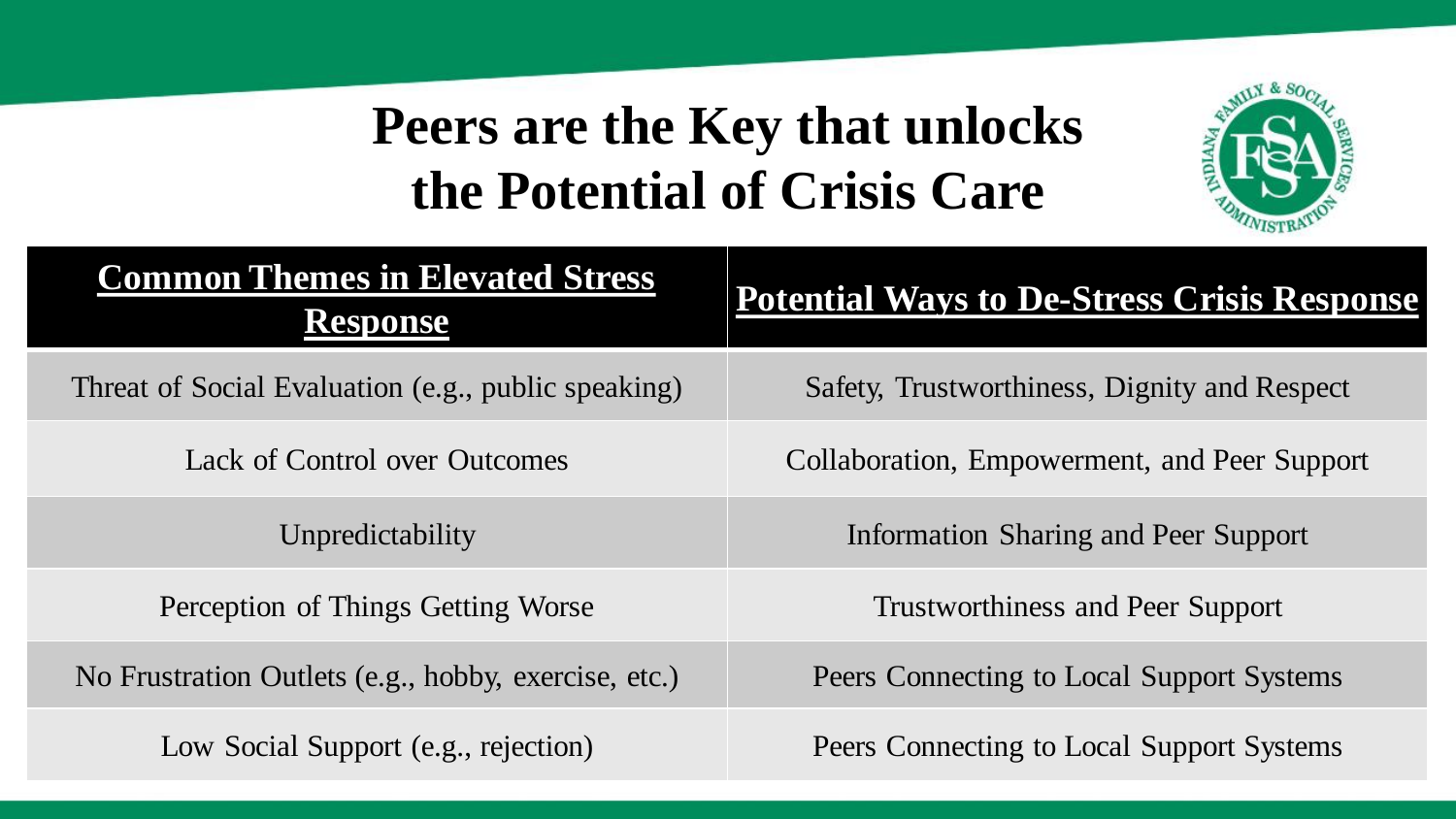### **Peers are the Key that unlocks the Potential of Crisis Care**



| <b>Common Themes in Elevated Stress</b><br><b>Response</b> | <b>Potential Ways to De-Stress Crisis Response</b> |
|------------------------------------------------------------|----------------------------------------------------|
| Threat of Social Evaluation (e.g., public speaking)        | Safety, Trustworthiness, Dignity and Respect       |
| <b>Lack of Control over Outcomes</b>                       | Collaboration, Empowerment, and Peer Support       |
| Unpredictability                                           | Information Sharing and Peer Support               |
| Perception of Things Getting Worse                         | Trustworthiness and Peer Support                   |
| No Frustration Outlets (e.g., hobby, exercise, etc.)       | Peers Connecting to Local Support Systems          |
| Low Social Support (e.g., rejection)                       | Peers Connecting to Local Support Systems          |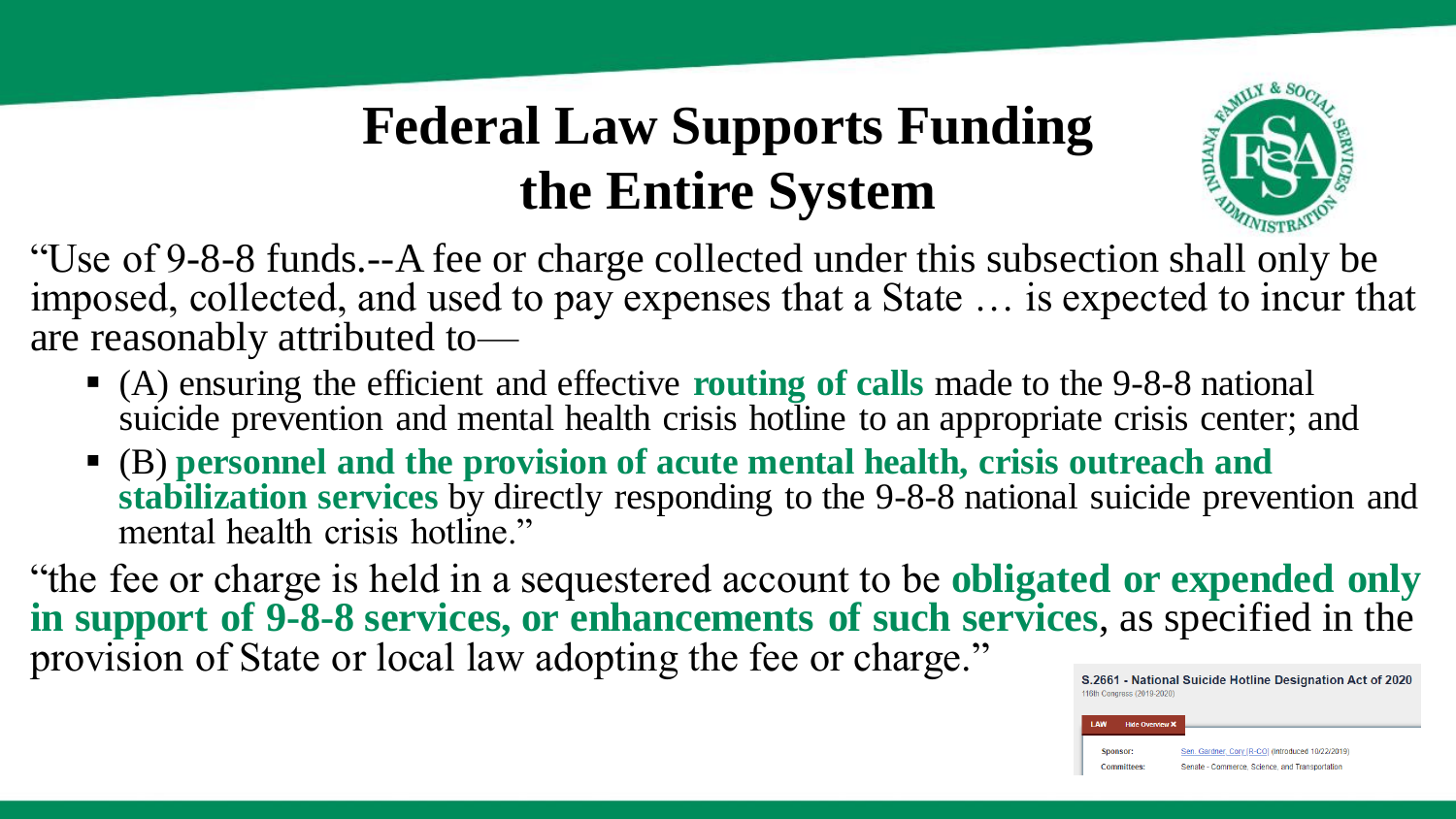### **Federal Law Supports Funding the Entire System**



en. Gardner. Corv IR-COI (Introduced 10/22/2)

116th Congress (2019-2020)

"Use of 9-8-8 funds.--A fee or charge collected under this subsection shall only be imposed, collected, and used to pay expenses that a State … is expected to incur that are reasonably attributed to—

- (A) ensuring the efficient and effective **routing of calls** made to the 9-8-8 national suicide prevention and mental health crisis hotline to an appropriate crisis center; and
- (B) **personnel and the provision of acute mental health, crisis outreach and stabilization services** by directly responding to the 9-8-8 national suicide prevention and mental health crisis hotline."

"the fee or charge is held in a sequestered account to be **obligated or expended only in support of 9-8-8 services, or enhancements of such services**, as specified in the provision of State or local law adopting the fee or charge." S.2661 - National Suicide Hotline Designation Act of 2020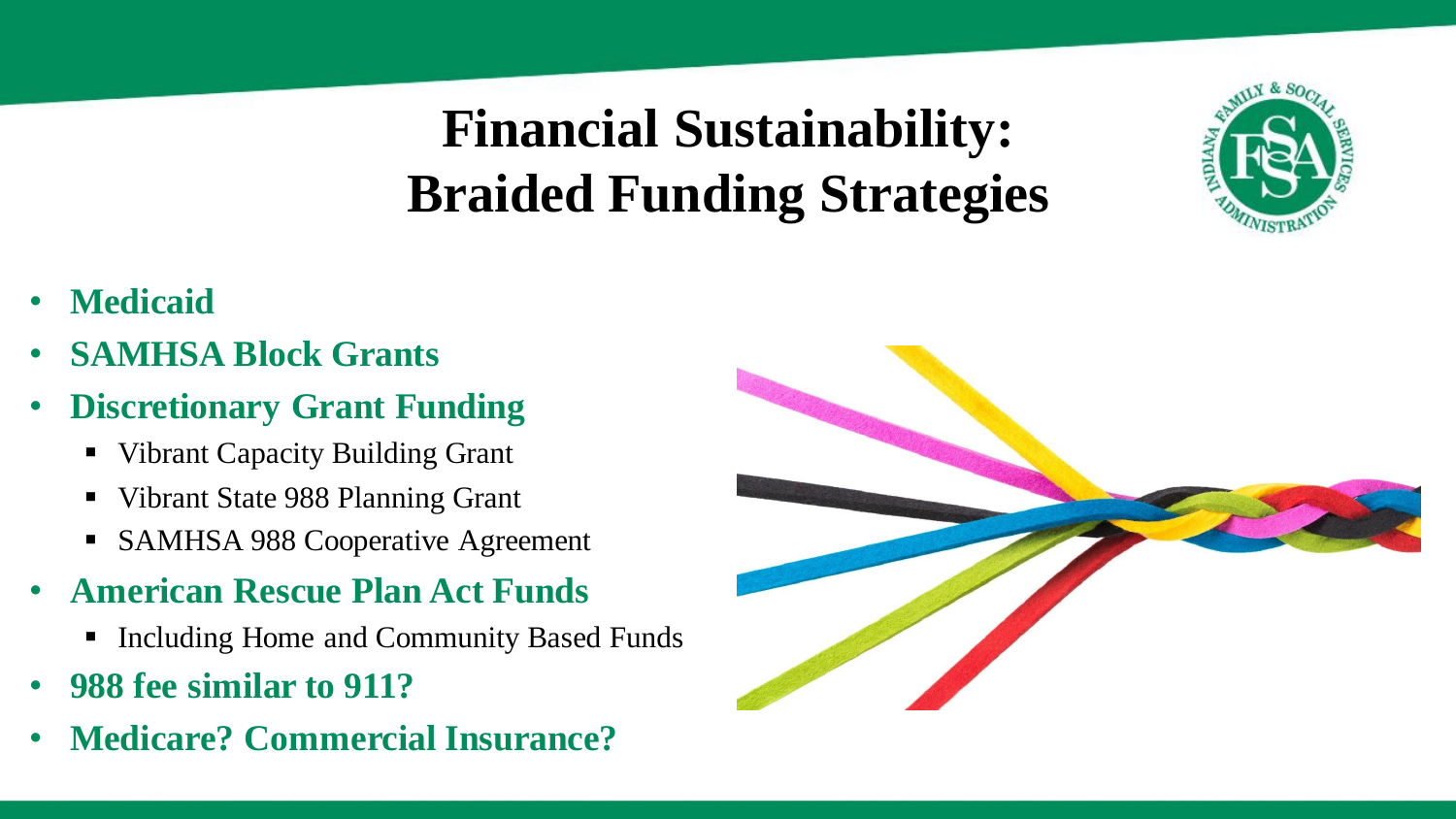### **Financial Sustainability: Braided Funding Strategies**



- **Medicaid**
- **SAMHSA Block Grants**
- **Discretionary Grant Funding**
	- Vibrant Capacity Building Grant
	- Vibrant State 988 Planning Grant
	- SAMHSA 988 Cooperative Agreement
- **American Rescue Plan Act Funds**
	- Including Home and Community Based Funds
- **988 fee similar to 911?**
- **Medicare? Commercial Insurance?**

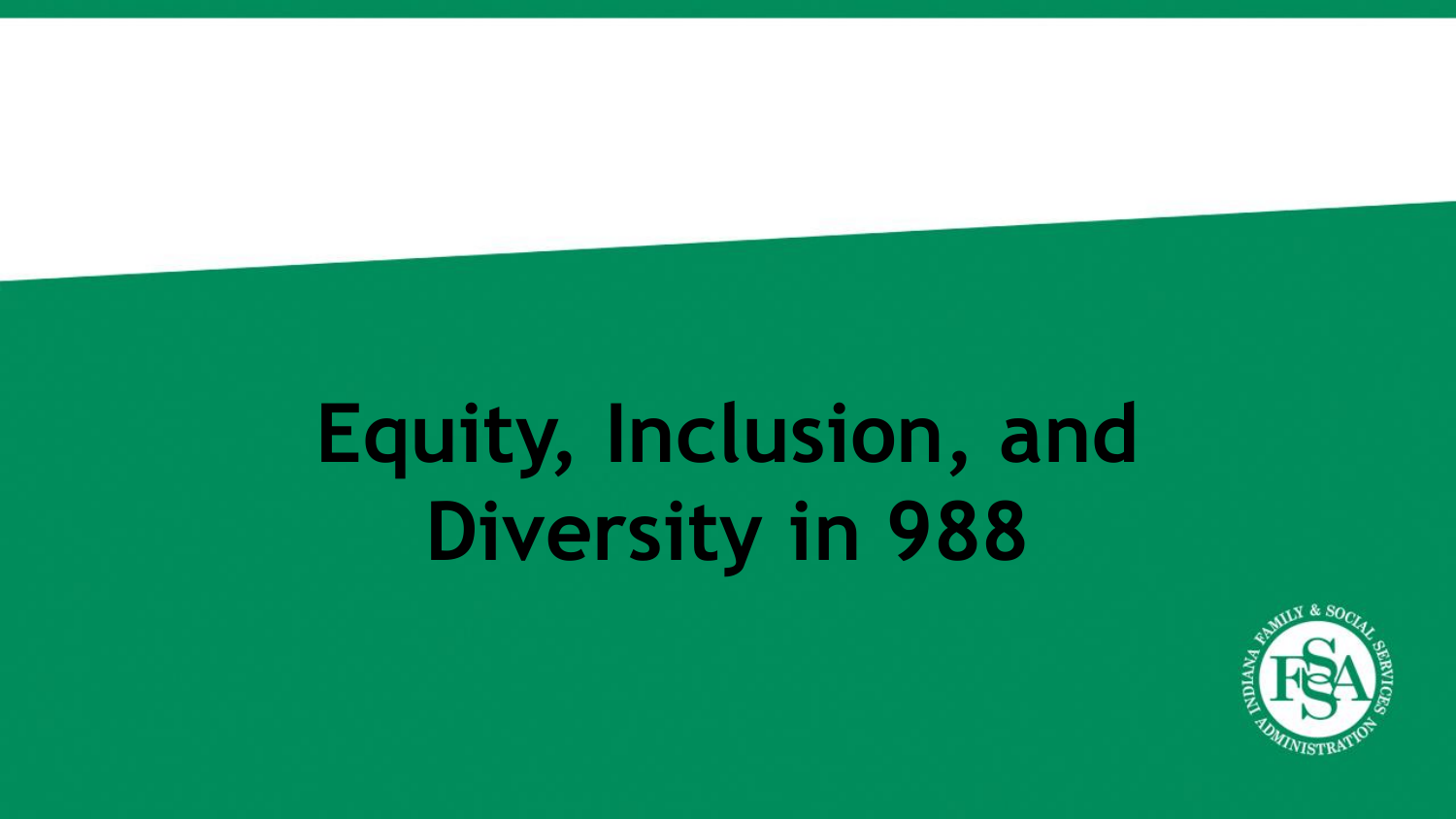# **Equity, Inclusion, and Diversity in 988**

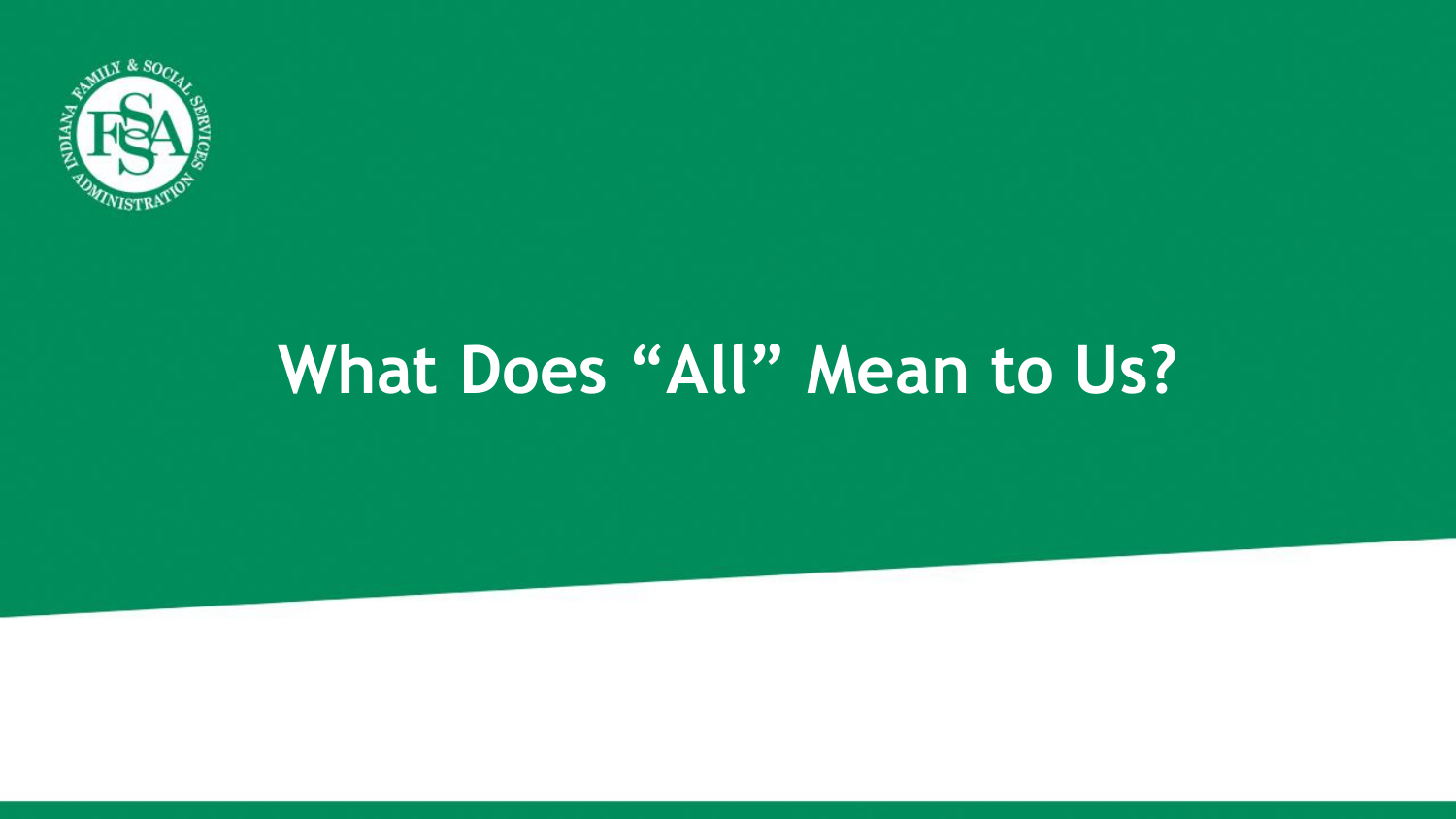

## **What Does "All" Mean to Us?**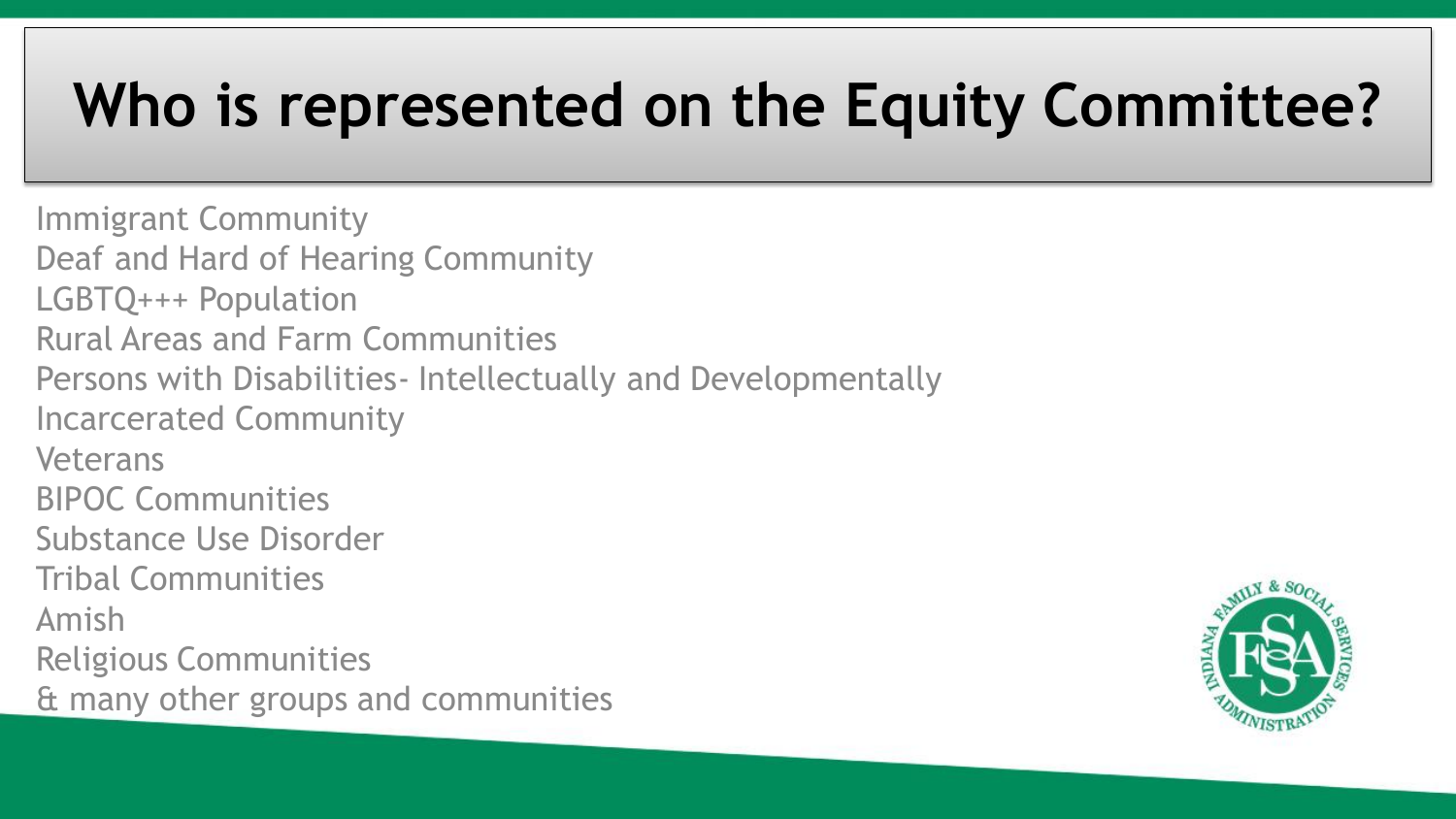## **Who is represented on the Equity Committee?**

Immigrant Community Deaf and Hard of Hearing Community LGBTQ+++ Population Rural Areas and Farm Communities Persons with Disabilities- Intellectually and Developmentally Incarcerated Community Veterans BIPOC Communities Substance Use Disorder Tribal Communities Amish Religious Communities & many other groups and communities

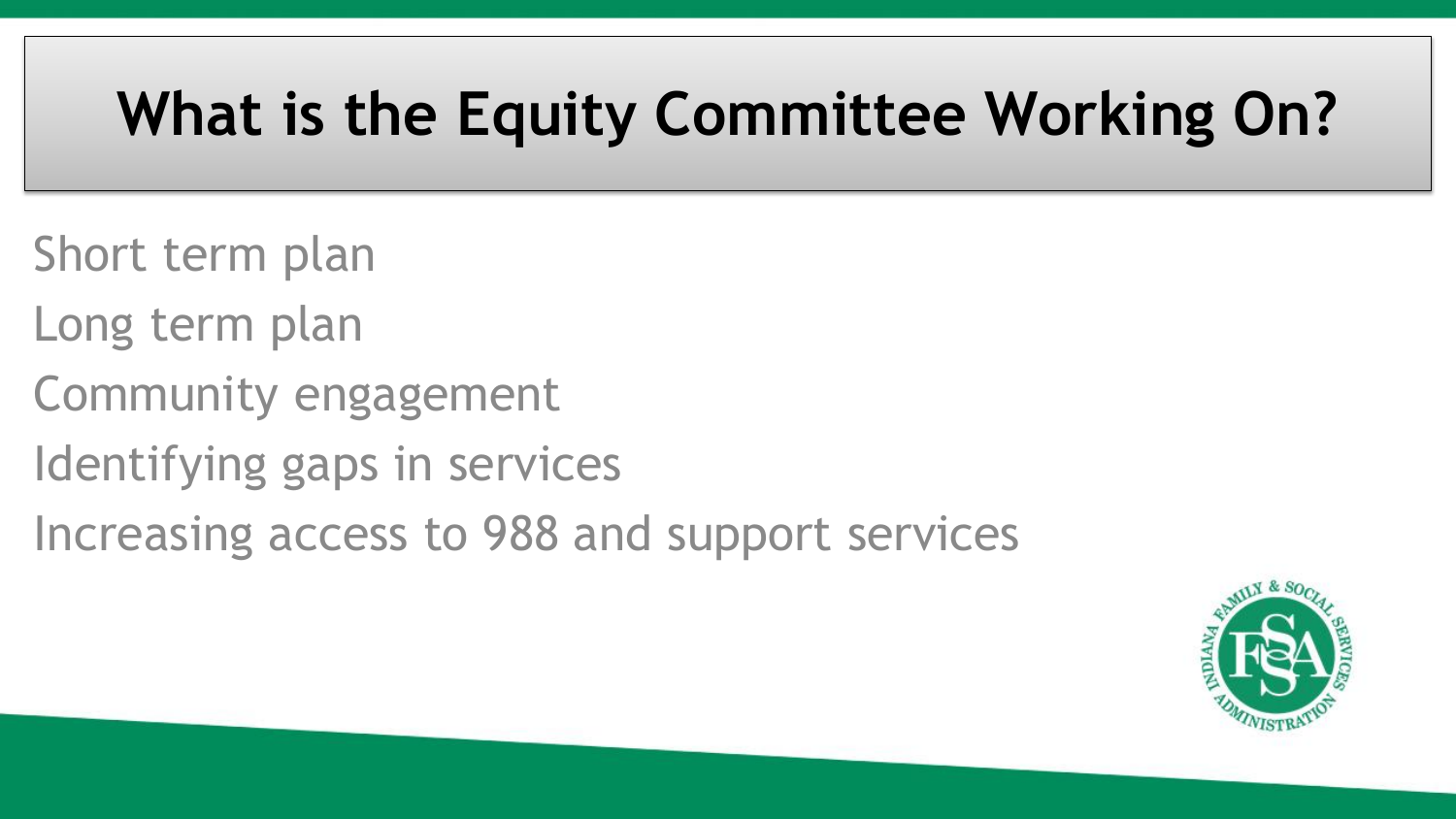## **What is the Equity Committee Working On?**

- Short term plan
- Long term plan
- Community engagement
- Identifying gaps in services
- Increasing access to 988 and support services

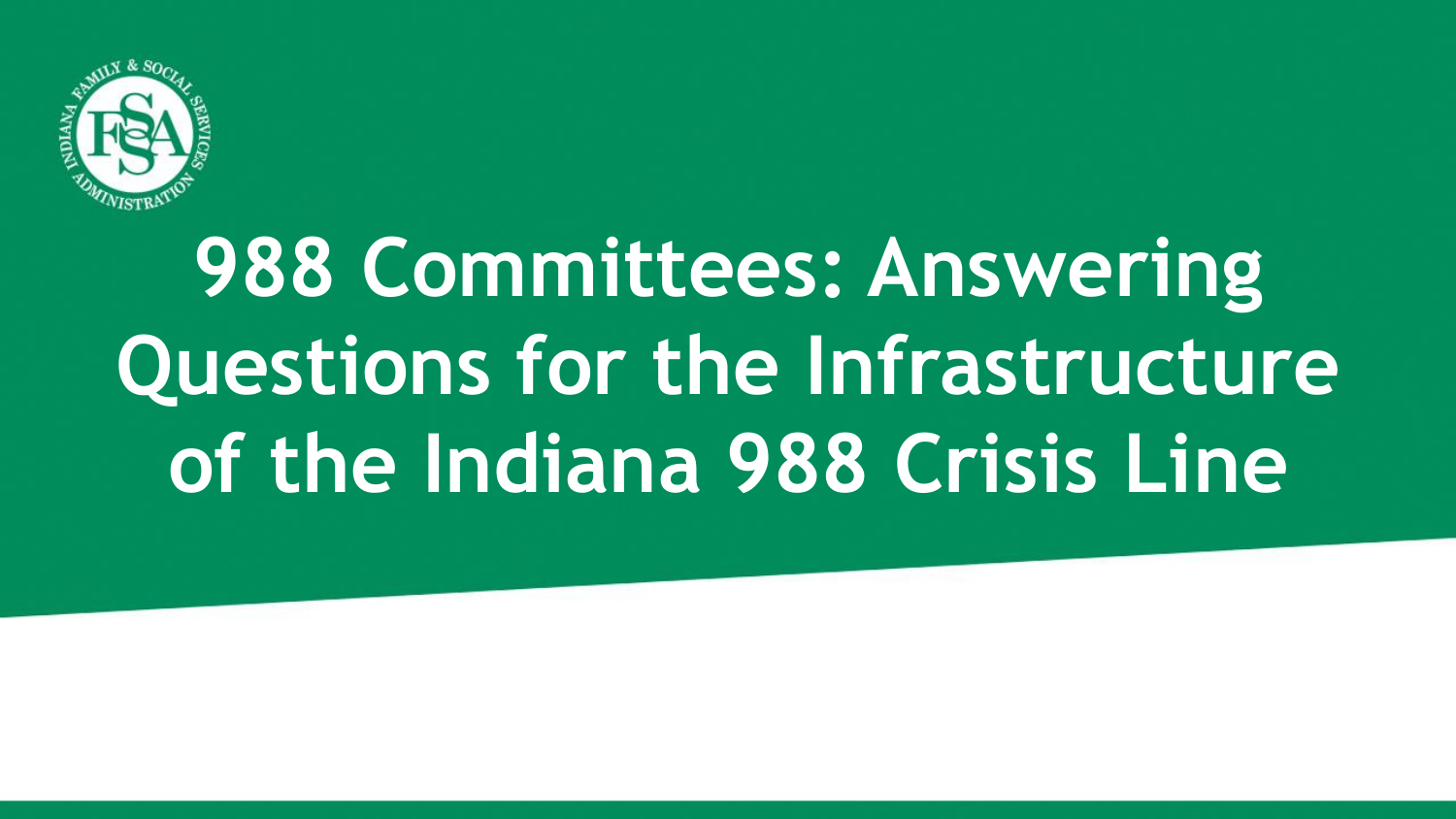

# **988 Committees: Answering Questions for the Infrastructure of the Indiana 988 Crisis Line**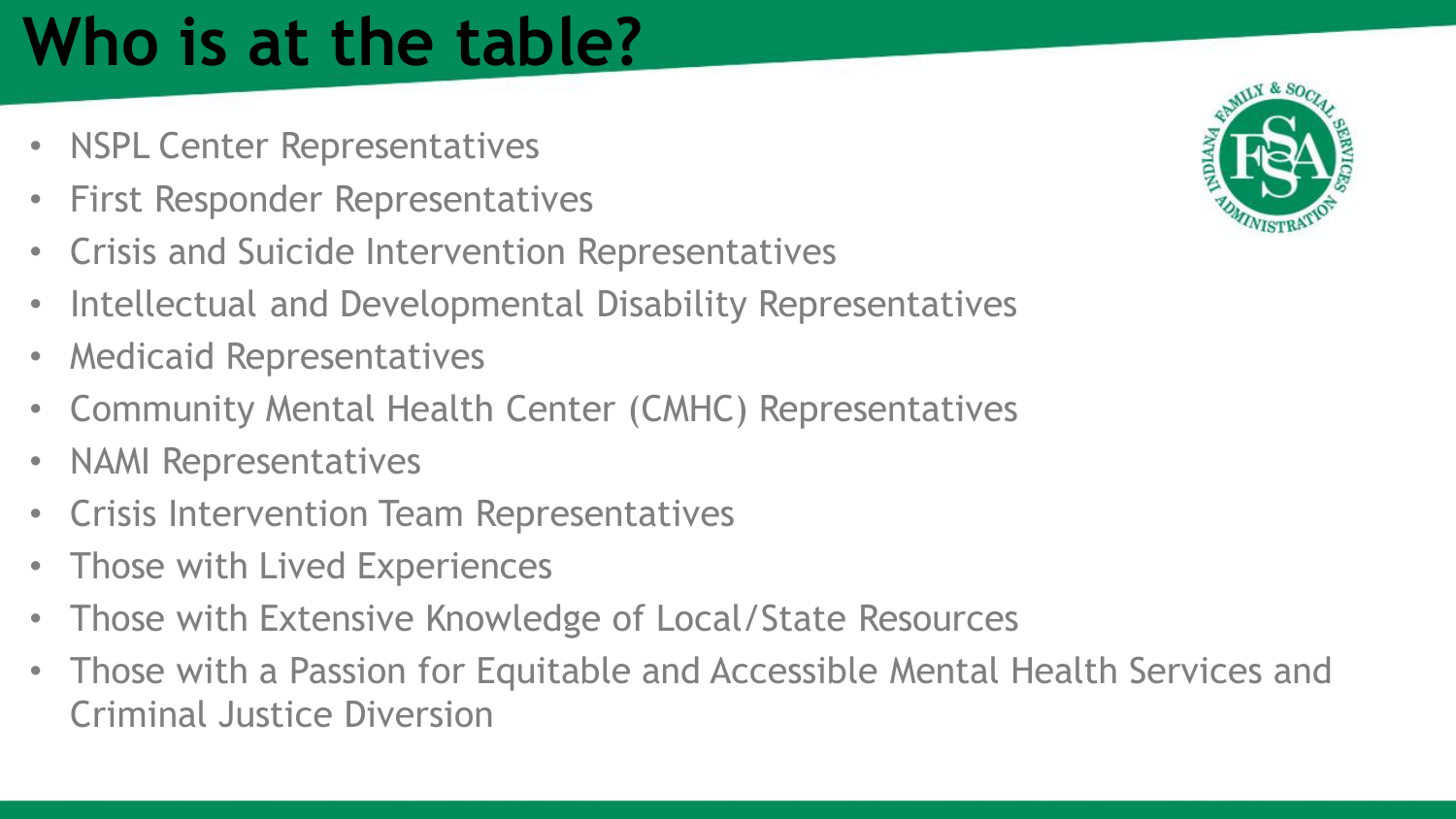## **Who is at the table?**

- NSPL Center Representatives
- First Responder Representatives
- Crisis and Suicide Intervention Representatives
- Intellectual and Developmental Disability Representatives
- Medicaid Representatives
- Community Mental Health Center (CMHC) Representatives
- NAMI Representatives
- Crisis Intervention Team Representatives
- Those with Lived Experiences
- Those with Extensive Knowledge of Local/State Resources
- Those with a Passion for Equitable and Accessible Mental Health Services and Criminal Justice Diversion

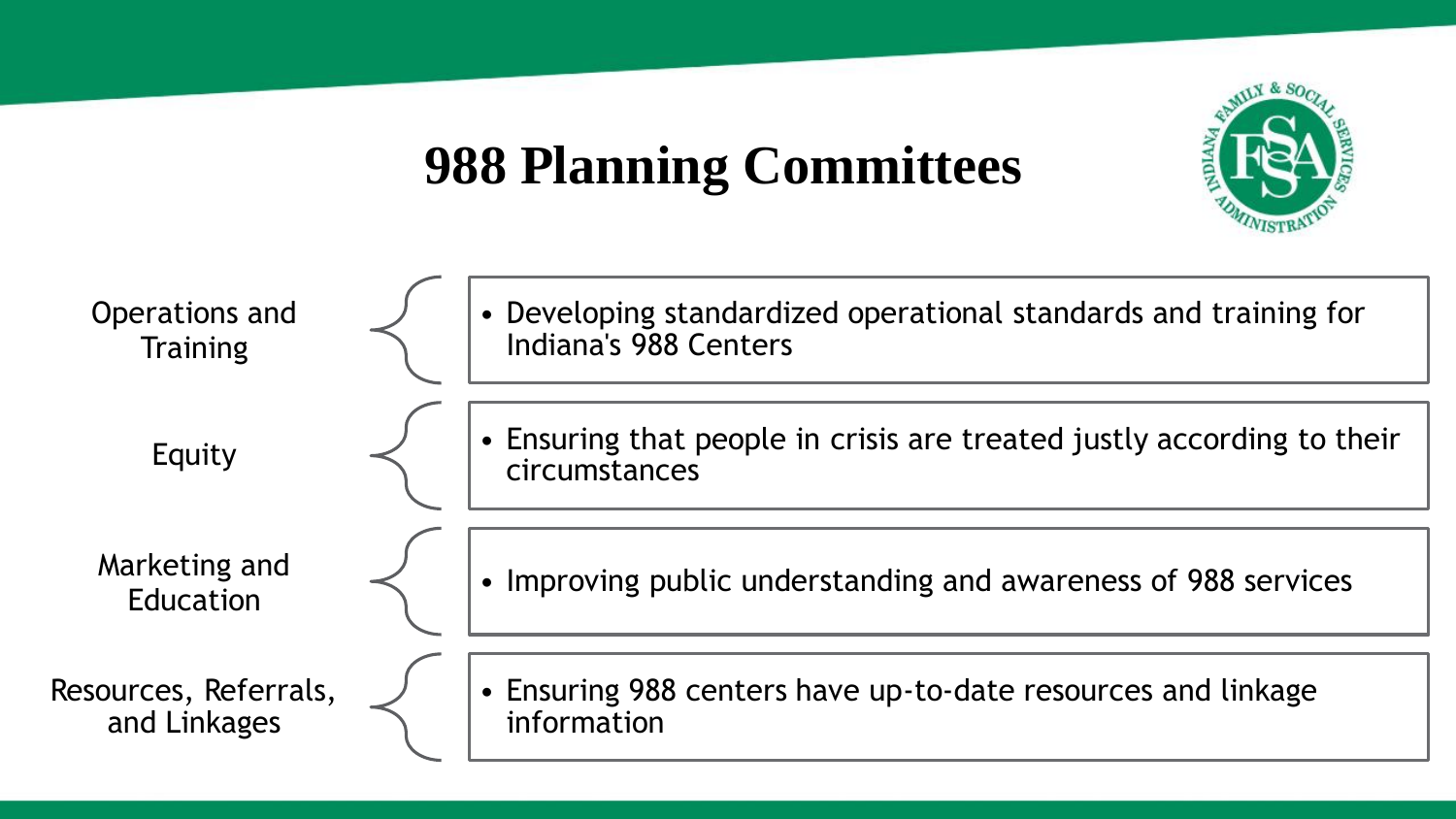

### **988 Planning Committees**

Operations and **Training** 

Marketing and Education

Resources, Referrals, and Linkages

• Developing standardized operational standards and training for Indiana's 988 Centers

Equity  $\left\{\left\{\right.\right.\right.$   $\left\{\right. \right.$  Ensuring that people in crisis are treated justly according to their circumstances

• Improving public understanding and awareness of 988 services

• Ensuring 988 centers have up-to-date resources and linkage information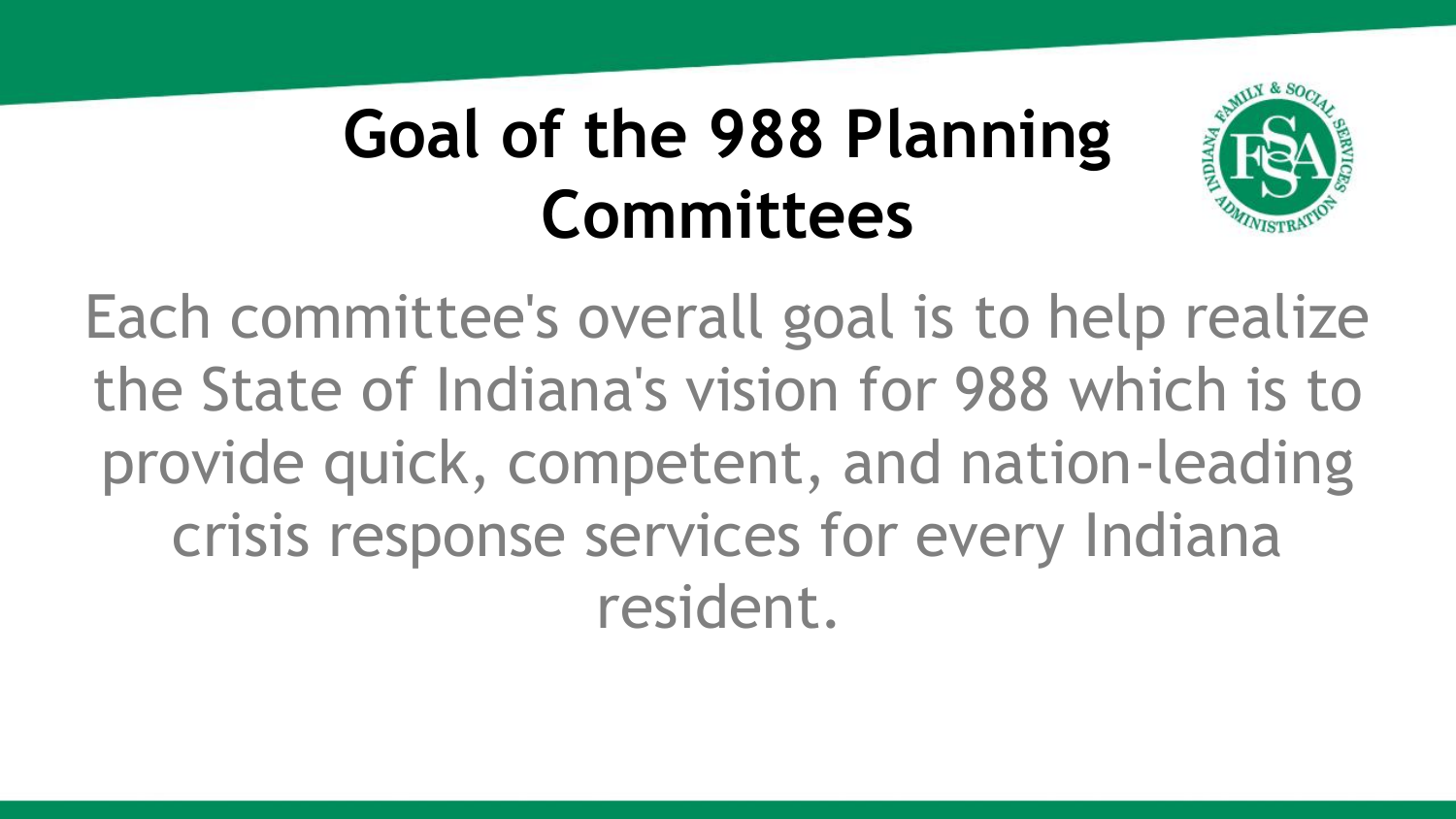## **Goal of the 988 Planning Committees**



Each committee's overall goal is to help realize the State of Indiana's vision for 988 which is to provide quick, competent, and nation-leading crisis response services for every Indiana resident.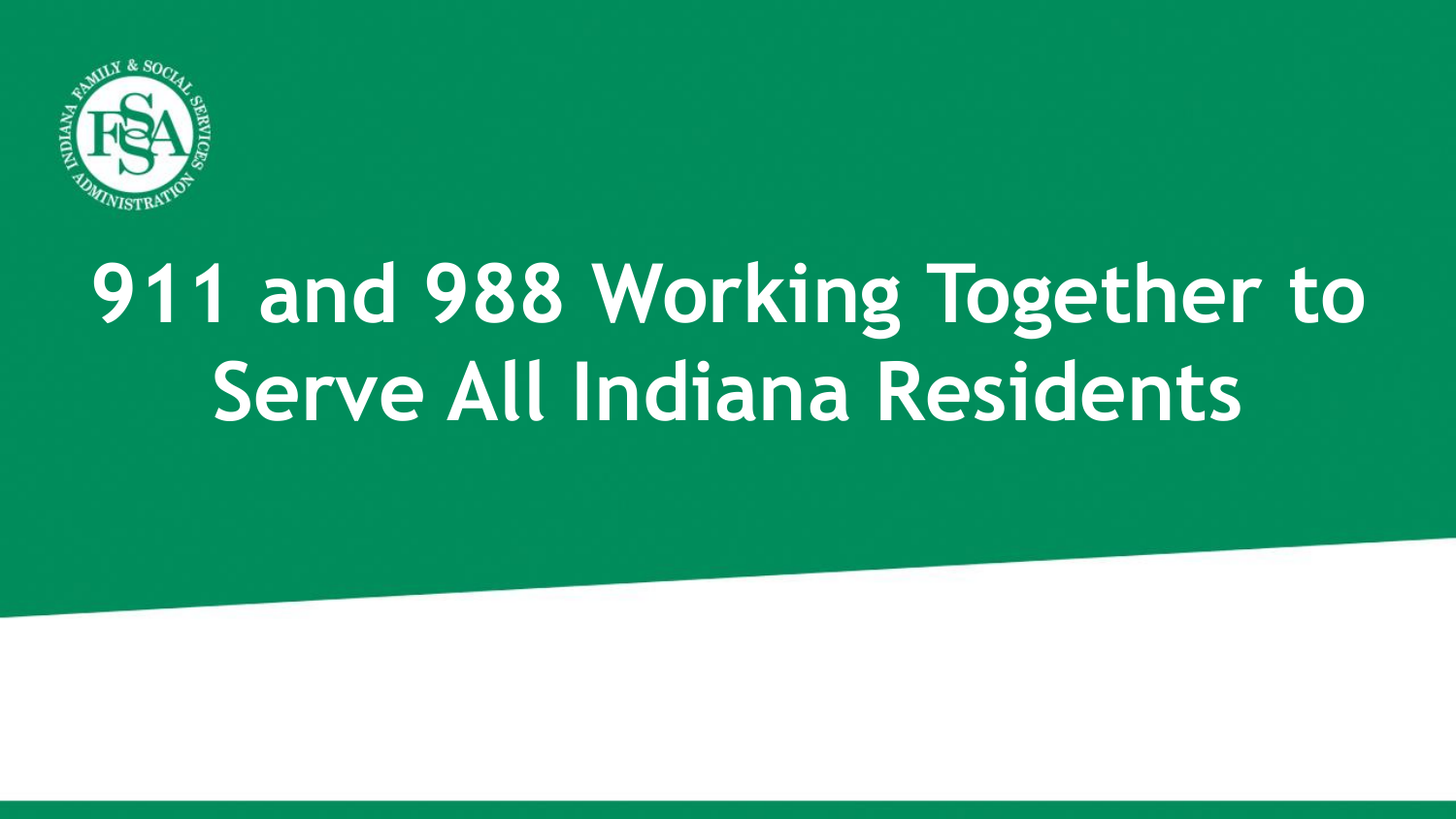

# **911 and 988 Working Together to Serve All Indiana Residents**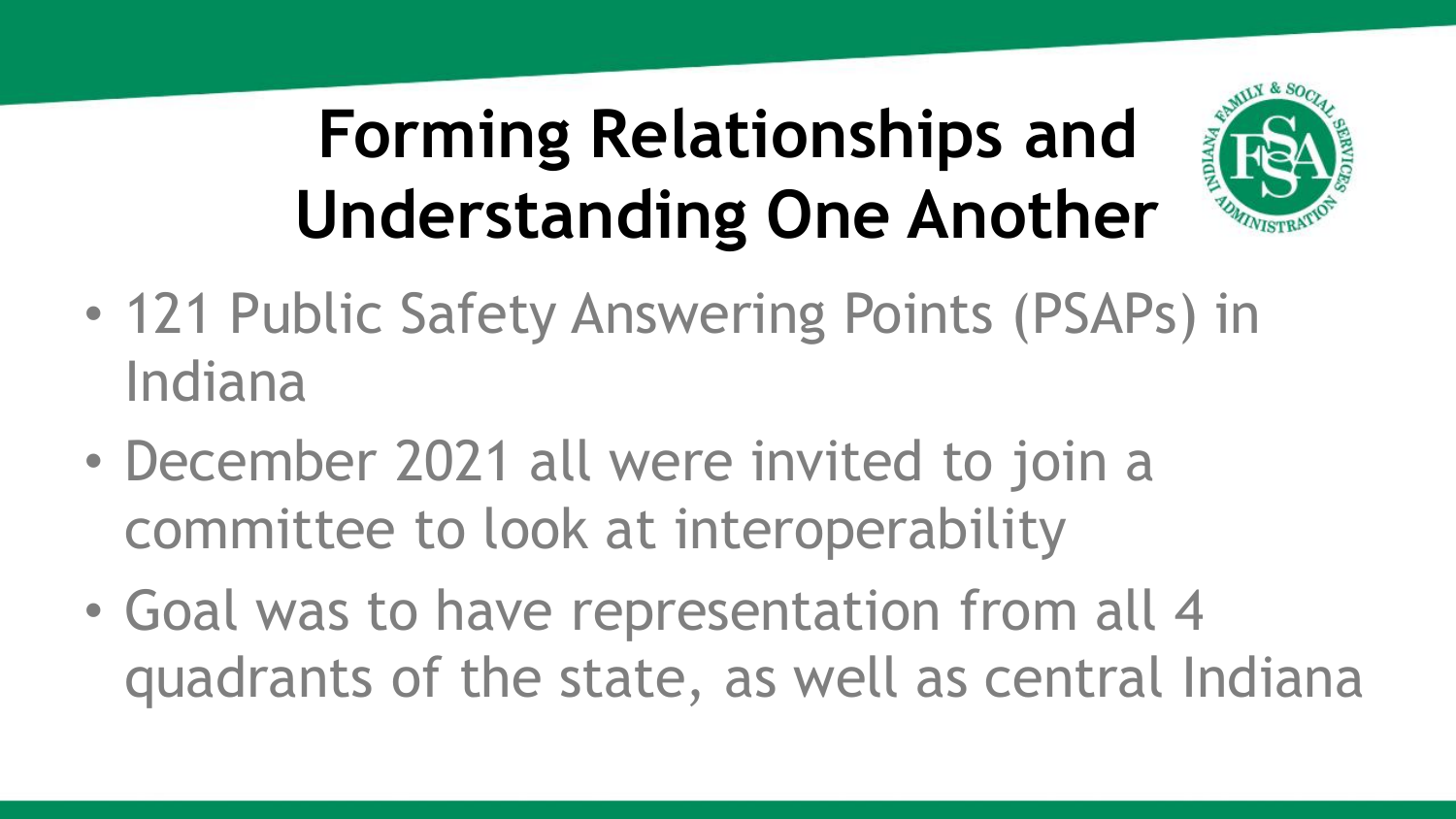## **Forming Relationships and Understanding One Another**



- 121 Public Safety Answering Points (PSAPs) in Indiana
- December 2021 all were invited to join a committee to look at interoperability
- Goal was to have representation from all 4 quadrants of the state, as well as central Indiana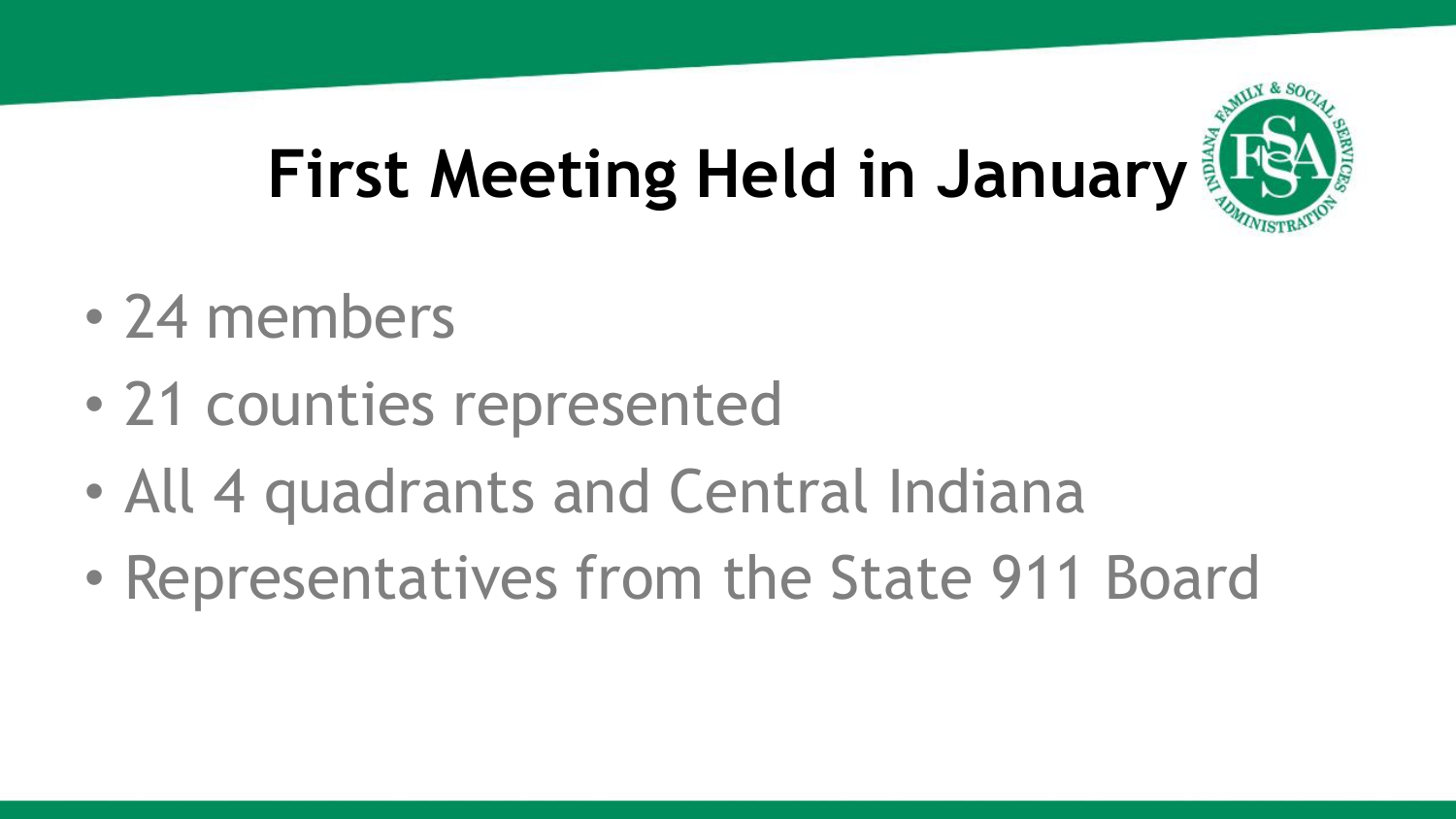

# **First Meeting Held in January**

- 24 members
- 21 counties represented
- All 4 quadrants and Central Indiana
- Representatives from the State 911 Board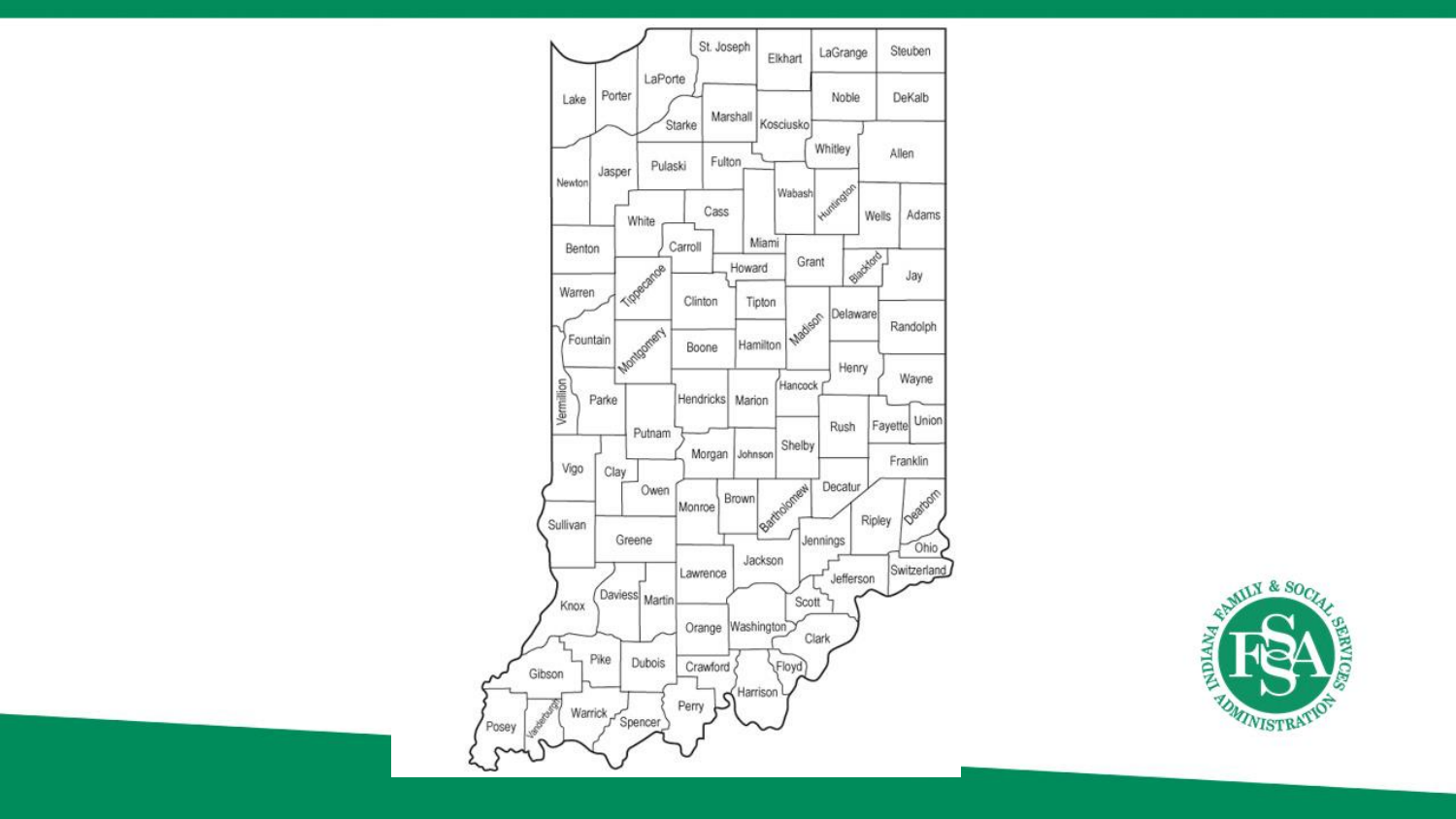

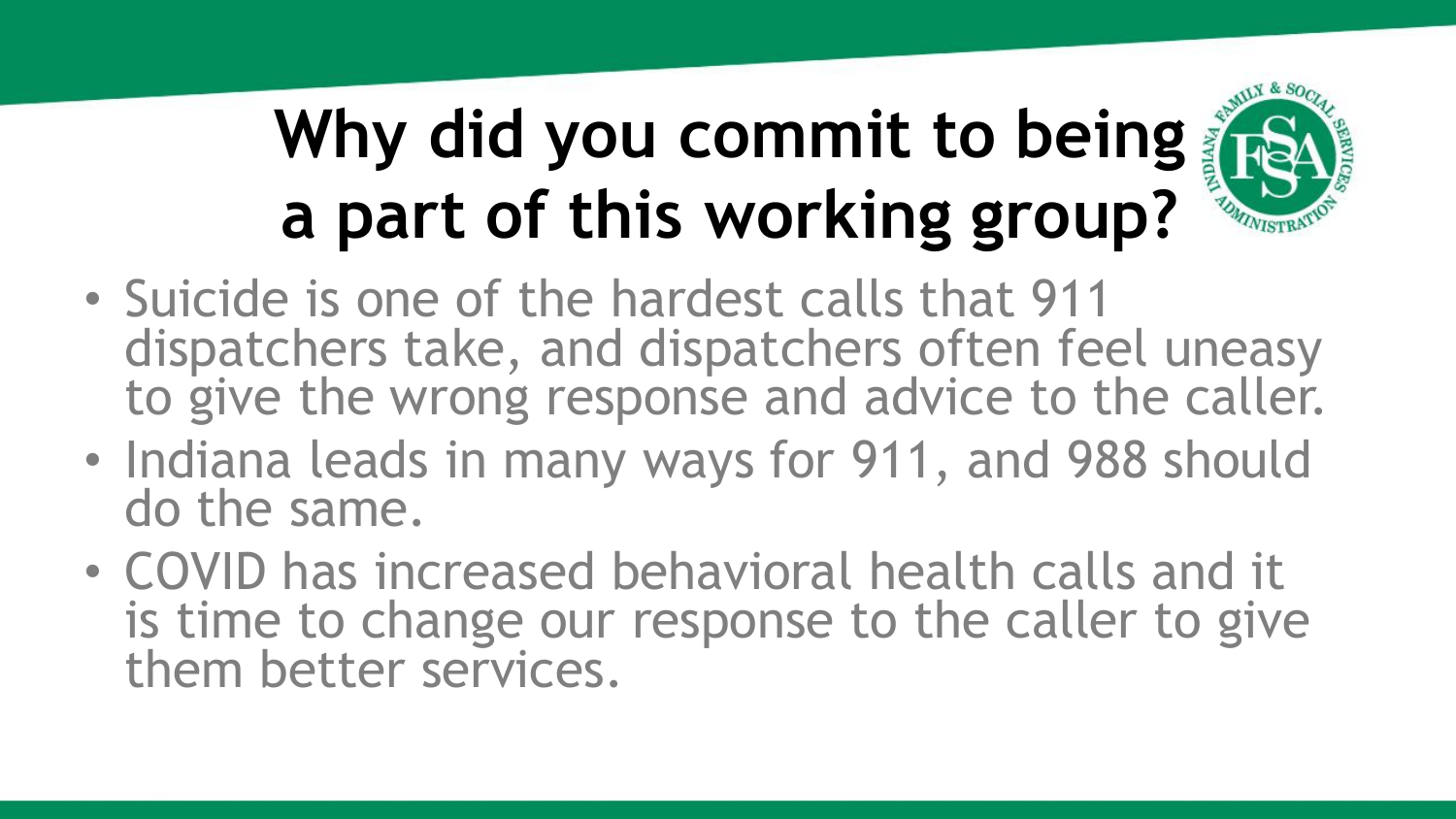# Why did you commit to being **a part of this working group?**



- Suicide is one of the hardest calls that 911 dispatchers take, and dispatchers often feel uneasy to give the wrong response and advice to the caller.
- Indiana leads in many ways for 911, and 988 should do the same.
- COVID has increased behavioral health calls and it is time to change our response to the caller to give them better services.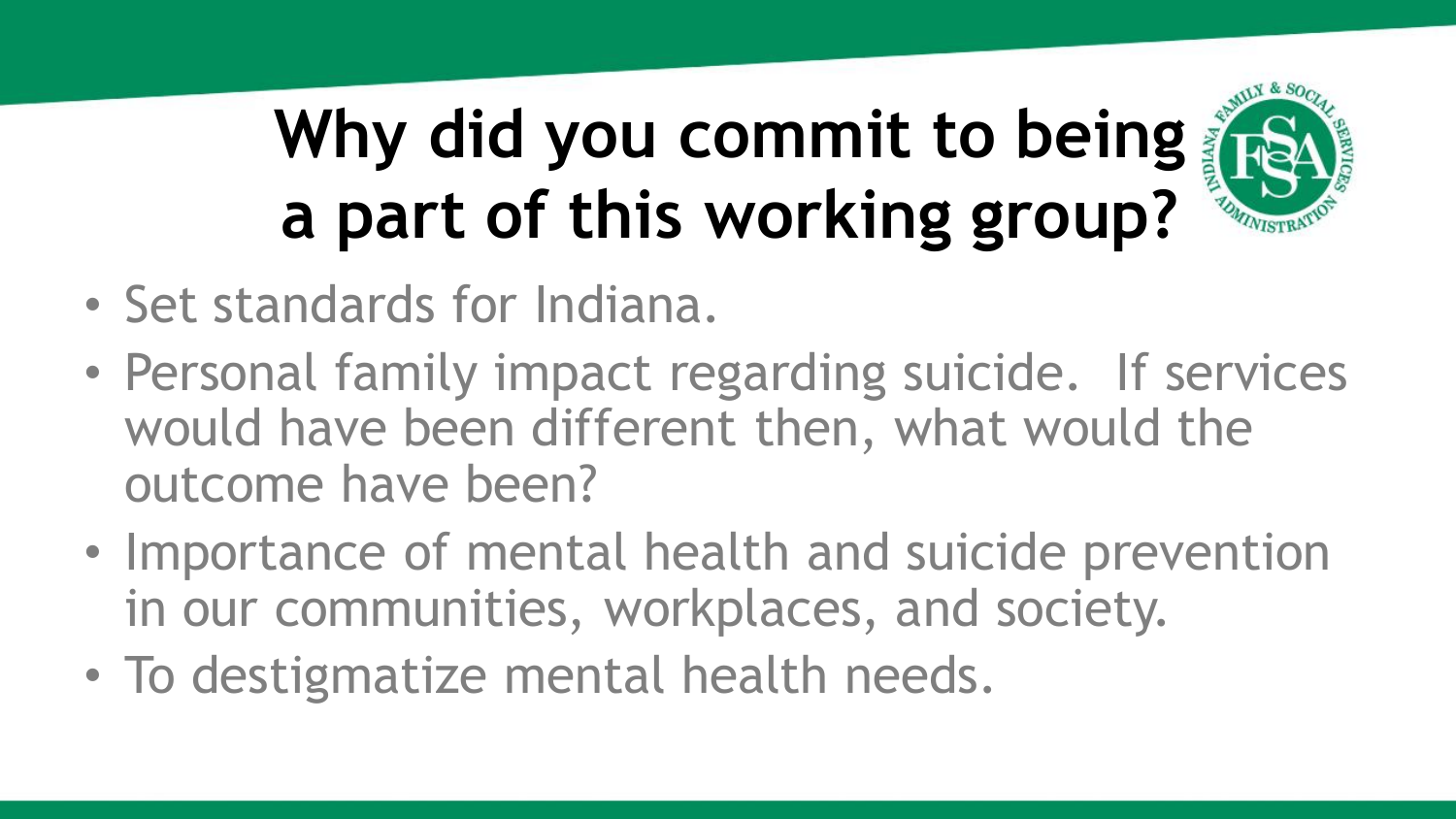## **Why did you commit to being a part of this working group?**



- Set standards for Indiana.
- Personal family impact regarding suicide. If services would have been different then, what would the outcome have been?
- Importance of mental health and suicide prevention in our communities, workplaces, and society.
- To destigmatize mental health needs.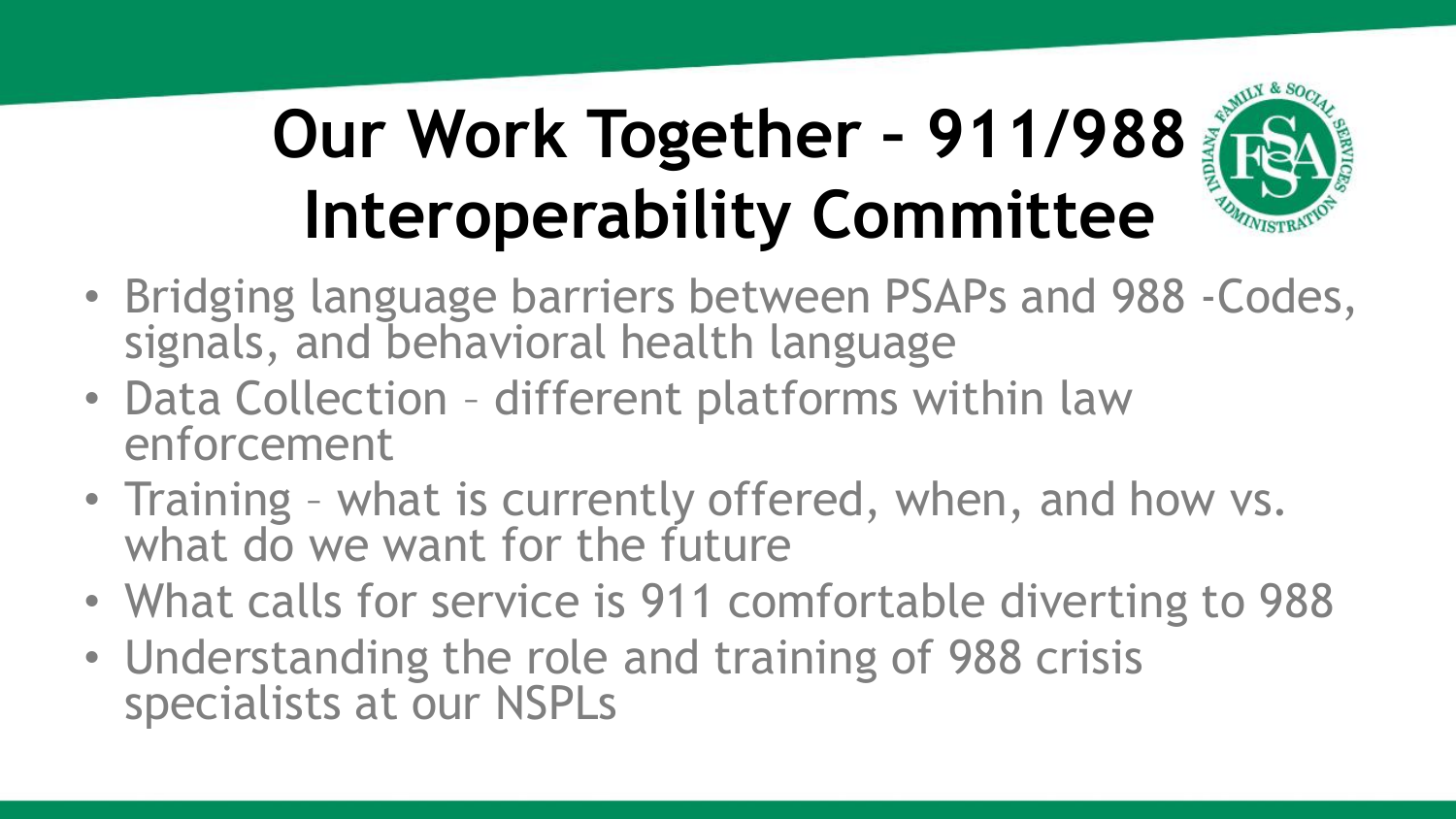## **Our Work Together – 911/988 Interoperability Committee**



- Bridging language barriers between PSAPs and 988 -Codes, signals, and behavioral health language
- Data Collection different platforms within law enforcement
- Training what is currently offered, when, and how vs. what do we want for the future
- What calls for service is 911 comfortable diverting to 988
- Understanding the role and training of 988 crisis specialists at our NSPLs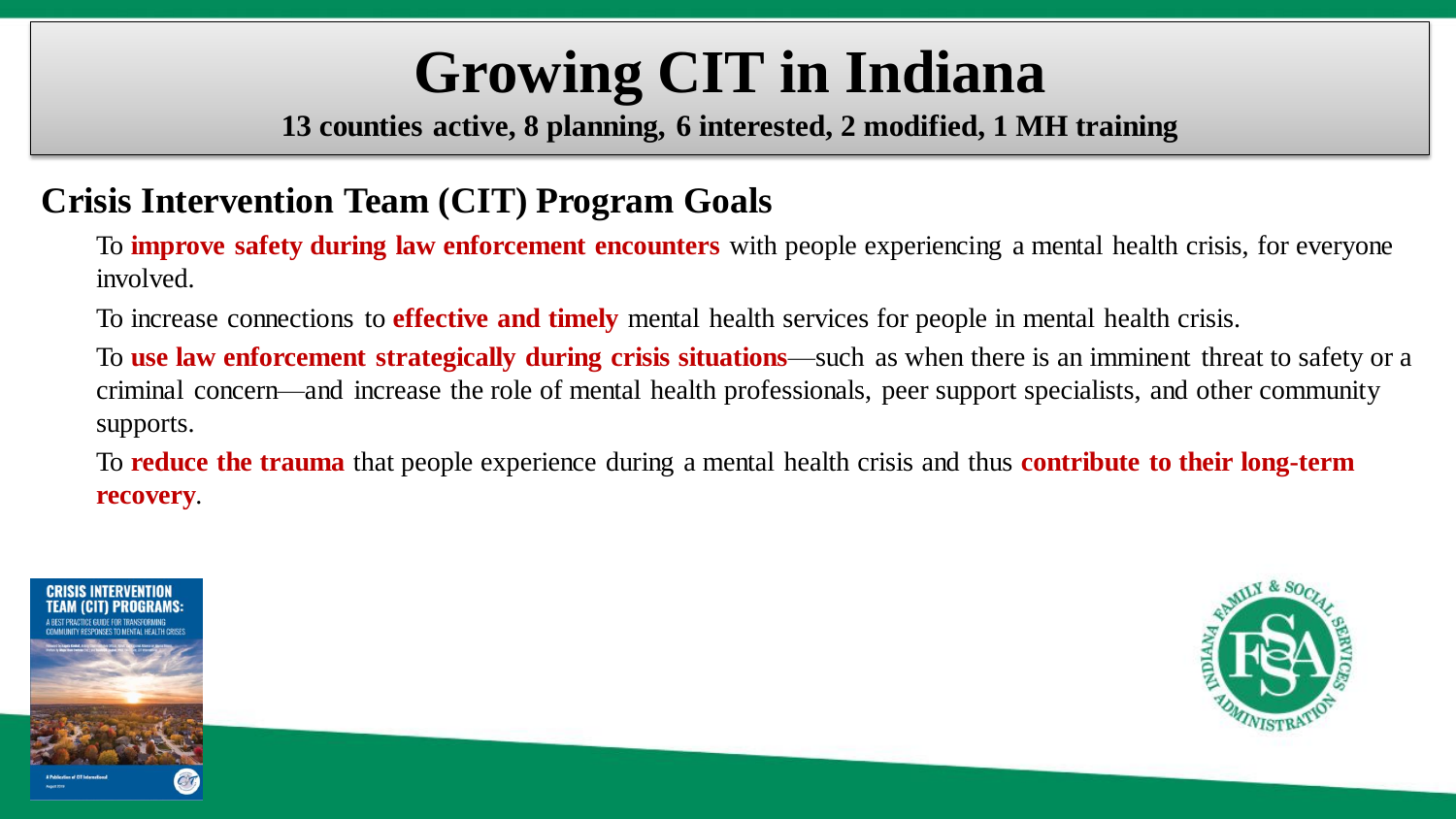## **Growing CIT in Indiana**

**13 counties active, 8 planning, 6 interested, 2 modified, 1 MH training**

#### **Crisis Intervention Team (CIT) Program Goals**

To **improve safety during law enforcement encounters** with people experiencing a mental health crisis, for everyone involved.

To increase connections to **effective and timely** mental health services for people in mental health crisis.

To **use law enforcement strategically during crisis situations**—such as when there is an imminent threat to safety or a criminal concern—and increase the role of mental health professionals, peer support specialists, and other community supports.

To **reduce the trauma** that people experience during a mental health crisis and thus **contribute to their long-term recovery**.